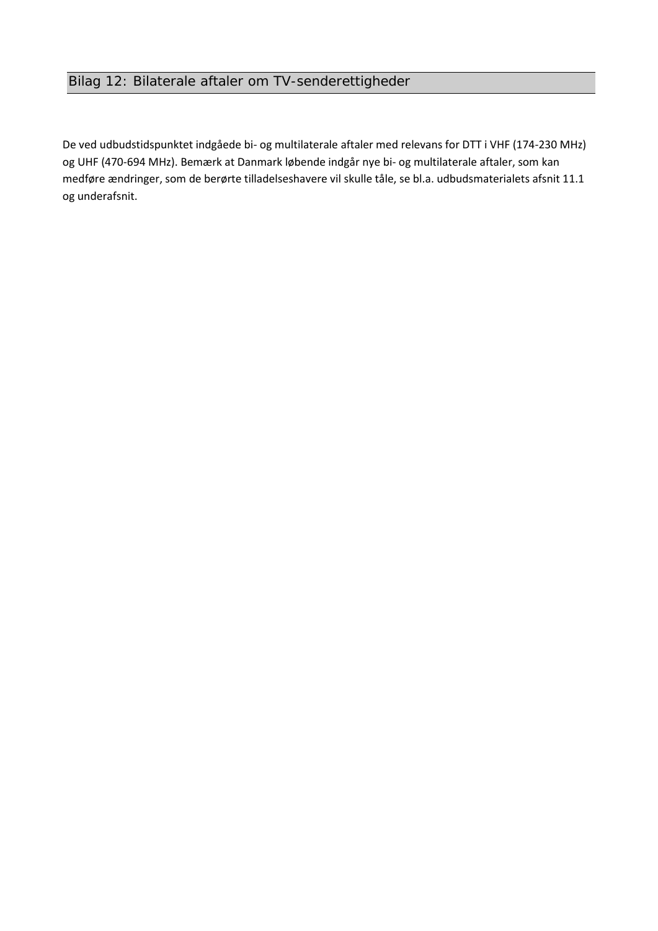De ved udbudstidspunktet indgåede bi- og multilaterale aftaler med relevans for DTT i VHF (174-230 MHz) og UHF (470-694 MHz). Bemærk at Danmark løbende indgår nye bi- og multilaterale aftaler, som kan medføre ændringer, som de berørte tilladelseshavere vil skulle tåle, se bl.a. udbudsmaterialets afsnit 11.1 og underafsnit.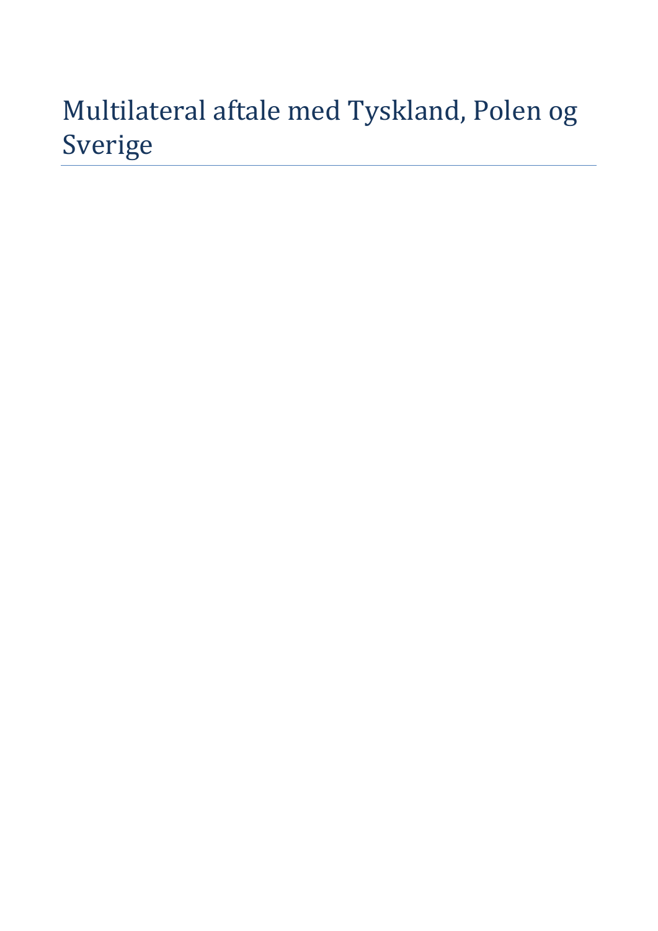# Multilateral aftale med Tyskland, Polen og Sverige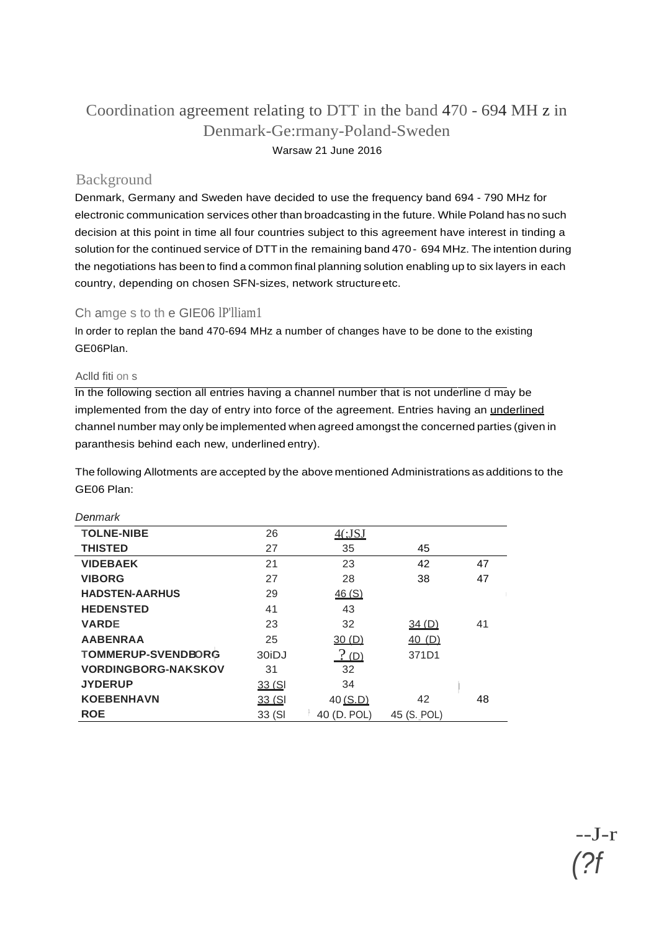## Coordination agreement relating to DTT in the band 470 - 694 MH z in Denmark-Ge:rmany-Poland-Sweden Warsaw 21 June 2016

## Background

Denmark, Germany and Sweden have decided to use the frequency band 694 - 790 MHz for electronic communication services other than broadcasting in the future. While Poland has no such decision at this point in time all four countries subject to this agreement have interest in tinding a solution for the continued service of DTT in the remaining band 470 - 694 MHz. The intention during the negotiations has been to find a common final planning solution enabling up to six layers in each country, depending on chosen SFN-sizes, network structureetc.

#### Ch amge s to th e GIE06 lP'lliam1

In order to replan the band 470-694 MHz a number of changes have to be done to the existing GE06Plan.

Aclld fiti on s

In the following section all entries having a channel number that is not underline d may be implemented from the day of entry into force of the agreement. Entries having an *underlined* channel number may only be implemented when agreed amongst the concerned parties (given in paranthesis behind each new, underlined entry).

The following Allotments are accepted by the above mentioned Administrations as additions to the GE06 Plan:

| Denmark                    |                    |             |             |    |
|----------------------------|--------------------|-------------|-------------|----|
| <b>TOLNE-NIBE</b>          | 26                 | 4(.JSJ)     |             |    |
| <b>THISTED</b>             | 27                 | 35          | 45          |    |
| <b>VIDEBAEK</b>            | 21                 | 23          | 42          | 47 |
| <b>VIBORG</b>              | 27                 | 28          | 38          | 47 |
| <b>HADSTEN-AARHUS</b>      | 29                 | 46(S)       |             |    |
| <b>HEDENSTED</b>           | 41                 | 43          |             |    |
| <b>VARDE</b>               | 23                 | 32          | 34 (D)      | 41 |
| <b>AABENRAA</b>            | 25                 | 30(D)       | 40(D)       |    |
| <b>TOMMERUP-SVENDBORG</b>  | 30 <sub>i</sub> DJ | $?$ (D)     | 371D1       |    |
| <b>VORDINGBORG-NAKSKOV</b> | 31                 | 32          |             |    |
| <b>JYDERUP</b>             | 33 (SI             | 34          |             |    |
| <b>KOEBENHAVN</b>          | 33 (SI             | 40(S.D)     | 42          | 48 |
| <b>ROE</b>                 | 33 (SI             | 40 (D. POL) | 45 (S. POL) |    |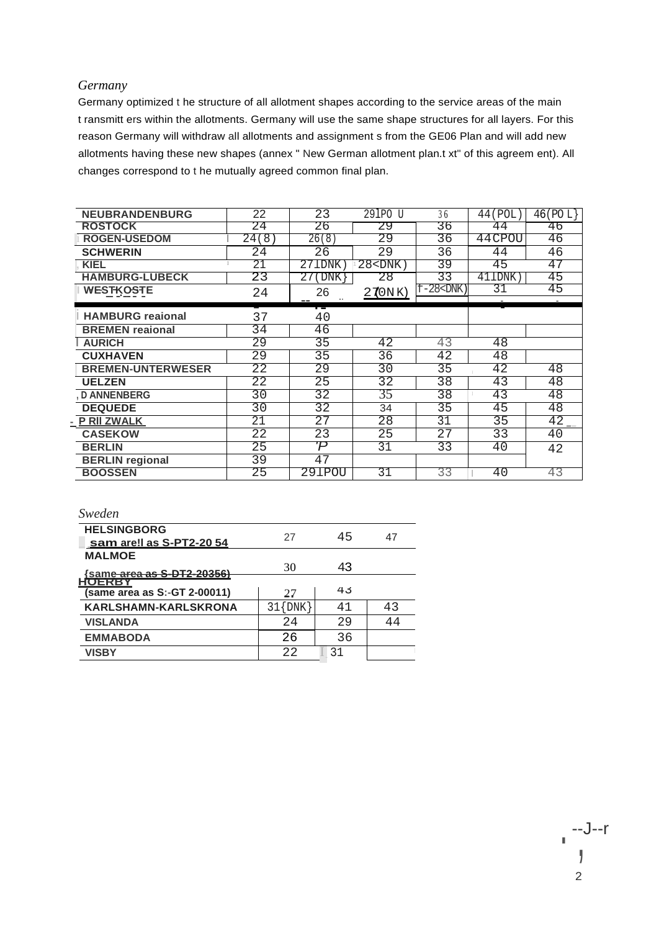#### *Germany*

Germany optimized t he structure of all allotment shapes according to the service areas of the main t ransmitt ers within the allotments. Germany will use the same shape structures for all layers. For this reason Germany will withdraw all allotments and assignment s from the GE06 Plan and will add new allotments having these new shapes (annex " New German allotment plan.t xt" of this agreem ent). All changes correspond to t he mutually agreed common final plan.

| <b>NEUBRANDENBURG</b>    | 22    | 23        | 291PO U                                                     | 36               | 44 (POL) | 46 (POL) |
|--------------------------|-------|-----------|-------------------------------------------------------------|------------------|----------|----------|
| <b>ROSTOCK</b>           | 24    | 26        | 29                                                          | 36               | 44       | 46       |
| <b>ROGEN-USEDOM</b>      | 24(8) | 26(8)     | 29                                                          | 36               | 44 CPOU  | 46       |
| <b>SCHWERIN</b>          | 24    | 26        | 29                                                          | 36               | 44       | 46       |
| <b>KIEL</b>              | 21    | 271DNK    | $28$ <dnk)< th=""><th>39</th><th>45</th><th>47</th></dnk)<> | 39               | 45       | 47       |
| <b>HAMBURG-LUBECK</b>    | 23    | 27<br>DNK | 28                                                          | 33               | 411DNK   | 45       |
| <b>WESTKOSTE</b>         | 24    | 26        | 270NK)                                                      | $f-28$ < $DNK$ ) | 31       | 45       |
|                          |       |           |                                                             |                  |          |          |
| <b>HAMBURG</b> reaional  | 37    | 40        |                                                             |                  |          |          |
| <b>BREMEN</b> reaional   | 34    | 46        |                                                             |                  |          |          |
| <b>AURICH</b>            | 29    | 35        | 42                                                          | 43               | 48       |          |
| <b>CUXHAVEN</b>          | 29    | 35        | 36                                                          | 42               | 48       |          |
| <b>BREMEN-UNTERWESER</b> | 22    | 29        | $\overline{30}$                                             | $\overline{35}$  | 42       | 48       |
| <b>UELZEN</b>            | 22    | 25        | 32                                                          | 38               | 43       | 48       |
| <b>D ANNENBERG</b>       | 30    | 32        | 35                                                          | 38               | 43       | 48       |
| <b>DEQUEDE</b>           | 30    | 32        | 34                                                          | 35               | 45       | 48       |
| - PRIIZWALK              | 21    | 27        | 28                                                          | 31               | 35       | 42       |
| <b>CASEKOW</b>           | 22    | 23        | 25                                                          | $\overline{27}$  | 33       | 40       |
| <b>BERLIN</b>            | 25    | Ή         | 31                                                          | 33               | 40       | 42       |
| <b>BERLIN</b> regional   | 39    | 47        |                                                             |                  |          |          |
| <b>BOOSSEN</b>           | 25    | 291POU    | 31                                                          | 33               | 40       | 43       |
|                          |       |           |                                                             |                  |          |          |

| <b>HELSINGBORG</b><br>sam are! as S-PT2-20 54 | 27           | 45 |    |
|-----------------------------------------------|--------------|----|----|
| <b>MALMOE</b>                                 | 30           | 43 |    |
| Same area as S-DT2-20356)                     |              |    |    |
| (same area as S:-GT 2-00011)                  | 27           | 43 |    |
| <b>KARLSHAMN-KARLSKRONA</b>                   | $31$ $\{DNK$ | 41 | 43 |
| <b>VISLANDA</b>                               | 2.4          | 29 | 44 |
| <b>EMMABODA</b>                               | 26           | 36 |    |
| <b>VISBY</b>                                  | 22           | 31 |    |
|                                               |              |    |    |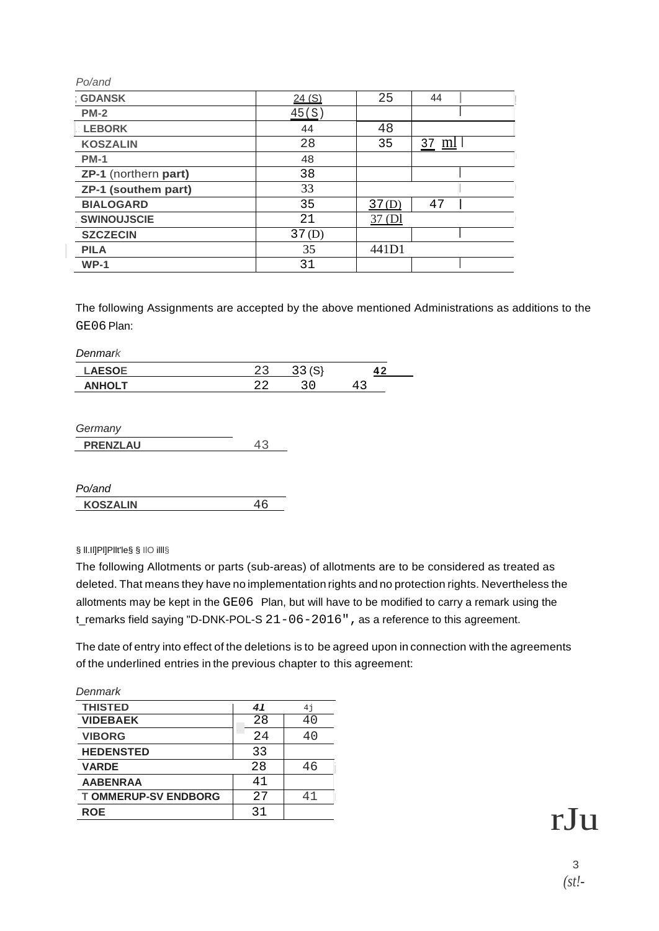| Po/and               |       |       |              |  |
|----------------------|-------|-------|--------------|--|
| ; GDANSK             | 24(S) | 25    | 44           |  |
| $PM-2$               | 45(S) |       |              |  |
| <b>LEBORK</b>        | 44    | 48    |              |  |
| <b>KOSZALIN</b>      | 28    | 35    | 37 <u>ml</u> |  |
| <b>PM-1</b>          | 48    |       |              |  |
| ZP-1 (northern part) | 38    |       |              |  |
| ZP-1 (southem part)  | 33    |       |              |  |
| <b>BIALOGARD</b>     | 35    | 37(D) | 47           |  |
| <b>SWINOUJSCIE</b>   | 21    | 37(D) |              |  |
| <b>SZCZECIN</b>      | 37(D) |       |              |  |
| <b>PILA</b>          | 35    | 441D1 |              |  |
| $WP-1$               | 31    |       |              |  |

The following Assignments are accepted by the above mentioned Administrations as additions to the GE06 Plan:

*Denmark*

| $\cdots$<br>--- | ັ | n |  |
|-----------------|---|---|--|
| .               |   |   |  |

| Germany         |  |
|-----------------|--|
| <b>PRENZLAU</b> |  |

| Po/and          |  |
|-----------------|--|
| <b>KOSZALIN</b> |  |

§ ll.Il]Pl]Pllt'le§ § IlO illl§

The following Allotments or parts (sub-areas) of allotments are to be considered as treated as deleted. That means they have no implementation rights and no protection rights. Nevertheless the allotments may be kept in the GE06 Plan, but will have to be modified to carry a remark using the t\_remarks field saying "D-DNK-POL-S  $21-06-2016$ ", as a reference to this agreement.

The date of entry into effect of the deletions is to be agreed upon in connection with the agreements of the underlined entries in the previous chapter to this agreement:

| Denmark                    |     |                |
|----------------------------|-----|----------------|
| <b>THISTED</b>             | 41  | 4 <sub>1</sub> |
| <b>VIDEBAEK</b>            | 28  | 40             |
| <b>VIBORG</b>              | 2.4 | 40             |
| <b>HEDENSTED</b>           | 33  |                |
| <b>VARDE</b>               | 28  | 46             |
| <b>AABENRAA</b>            | 41  |                |
| <b>TOMMERUP-SV ENDBORG</b> | 27  | 41             |
| <b>ROE</b>                 | 31  |                |
|                            |     |                |

rJu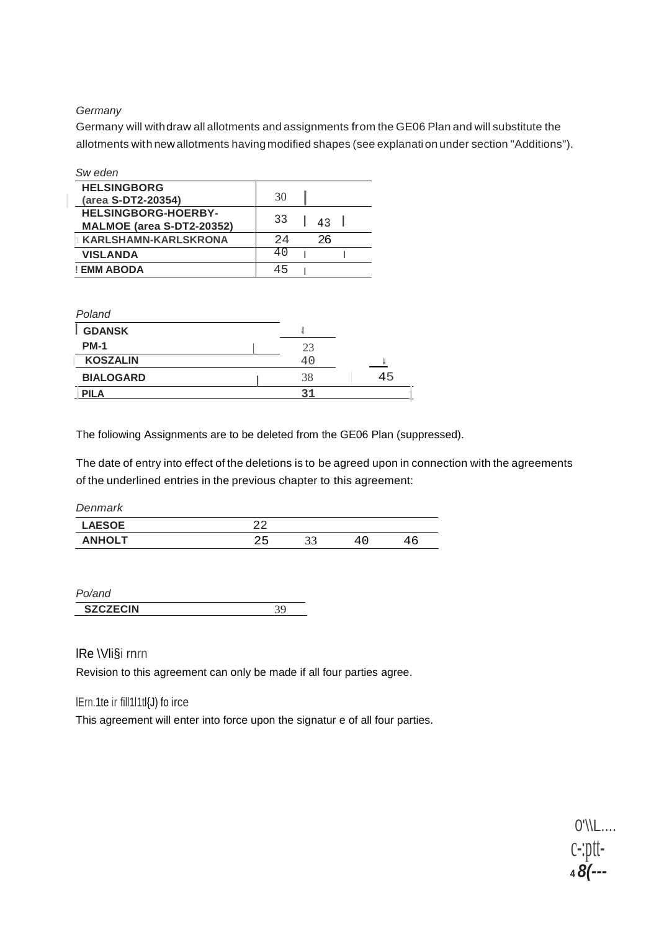#### *Germany*

Germany will withdraw all allotments and assignments from the GE06 Plan and will substitute the allotments with new allotments havingmodified shapes (see explanation under section "Additions").

| Sw eden                    |     |    |  |
|----------------------------|-----|----|--|
| <b>HELSINGBORG</b>         | 30  |    |  |
| (area S-DT2-20354)         |     |    |  |
| <b>HELSINGBORG-HOERBY-</b> | 33  |    |  |
| MALMOE (area S-DT2-20352)  |     | 43 |  |
| KARLSHAMN-KARLSKRONA       | 2.4 | 26 |  |
| <b>VISLANDA</b>            | 40  |    |  |
| ! EMM ABODA                | 45  |    |  |

| 23 |    |
|----|----|
| 40 |    |
| 38 | 45 |
|    |    |
|    |    |

The foliowing Assignments are to be deleted from the GE06 Plan (suppressed).

The date of entry into effect of the deletions is to be agreed upon in connection with the agreements of the underlined entries in the previous chapter to this agreement:

| 44        |          |     |    |
|-----------|----------|-----|----|
| っに<br>2 L | າາ<br>JЈ | 4 C | 46 |
|           |          |     |    |

| and             |  |
|-----------------|--|
| <b>SZCZECIN</b> |  |

lRe \Vli§i rnrn

Revision to this agreement can only be made if all four parties agree.

#### lErn.1te ir fill1l1tl{J) fo irce

This agreement will enter into force upon the signatur e of all four parties.

0'\\L.... c-:ptt- **<sup>4</sup>***8(---*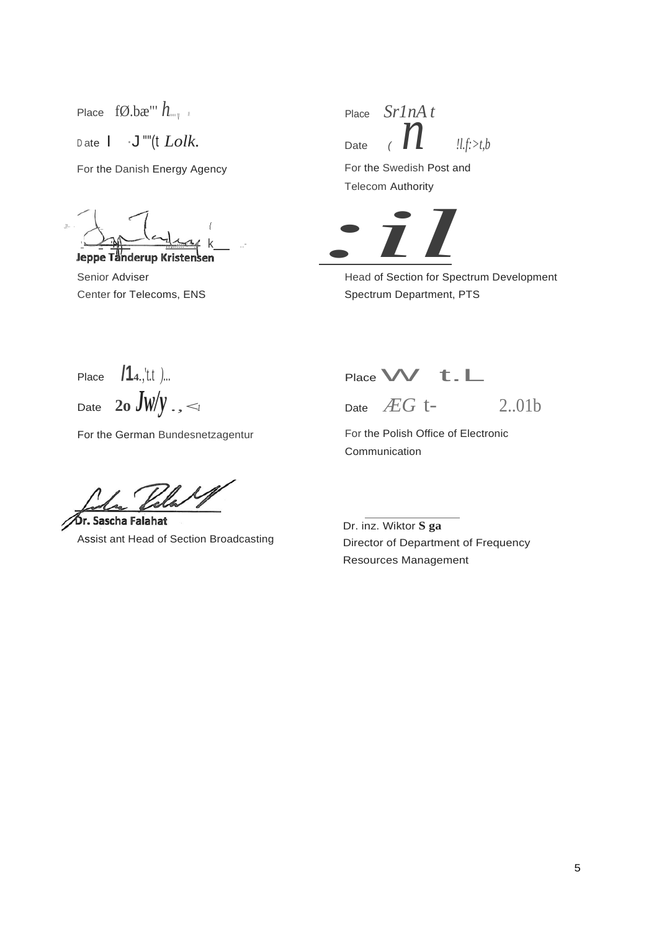Place  $f\emptyset.bx''' h_{\dots}$ Date  $I \cdot J$  ""(t *Lolk*. For the Danish Energy Agency

*J!-· ·* \ \_ I *{* '**Jeppe Tanderup Kristensen** 

Senior Adviser Center for Telecoms, ENS

*n* Place *Sr1nA t* Date *(*  $\mathbf{l}$  *!l.f:>t,b* 

For the Swedish Post and Telecom Authority



Head of Section for Spectrum Development Spectrum Department, PTS

Place **/14.**,'t.t *)...* Date **20** *JW*/*y* ., <1

For the German Bundesnetzagentur

Pela XI

Dr. Sascha Falahat Assist ant Head of Section Broadcasting

Place **W** t.L

Date *ÆG* t- 2..01b

For the Polish Office of Electronic Communication

Dr. inz. Wiktor **S ga** Director of Department of Frequency Resources Management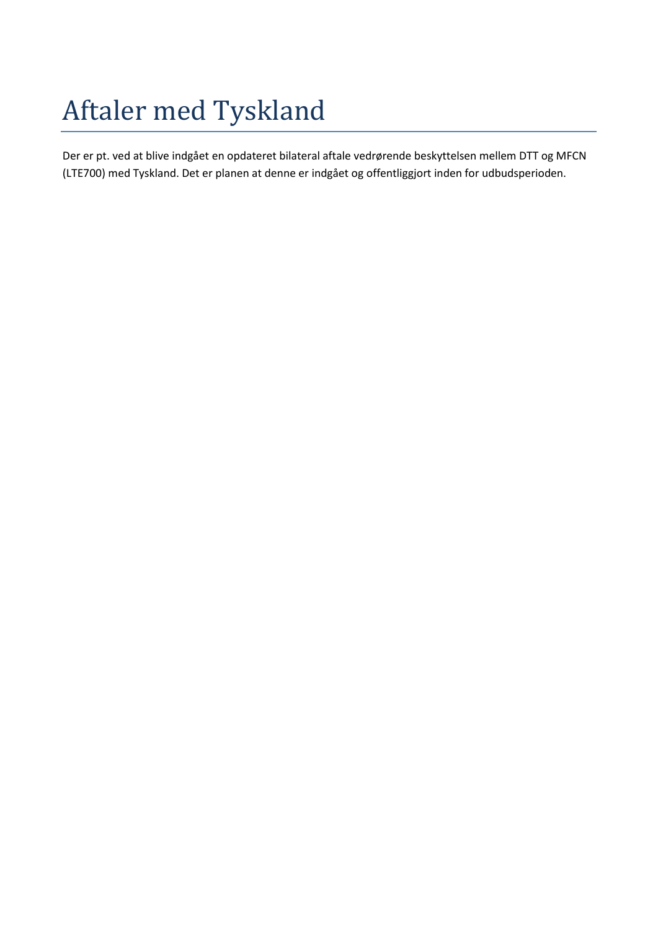# Aftaler med Tyskland

Der er pt. ved at blive indgået en opdateret bilateral aftale vedrørende beskyttelsen mellem DTT og MFCN (LTE700) med Tyskland. Det er planen at denne er indgået og offentliggjort inden for udbudsperioden.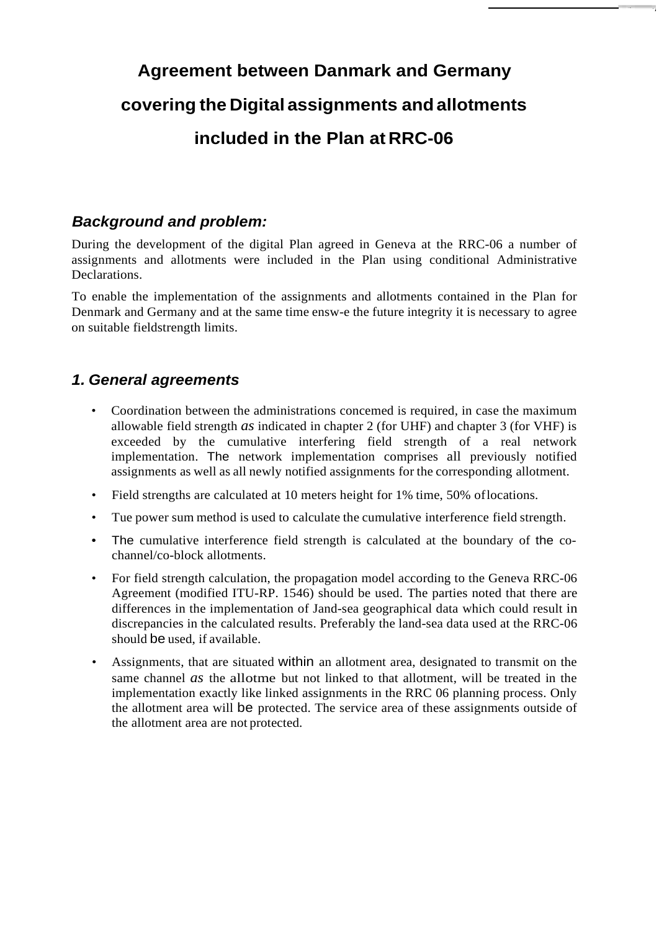## **Agreement between Danmark and Germany covering the Digital assignments andallotments included in the Plan at RRC-06**

## *Background and problem:*

During the development of the digital Plan agreed in Geneva at the RRC-06 a number of assignments and allotments were included in the Plan using conditional Administrative **Declarations** 

To enable the implementation of the assignments and allotments contained in the Plan for Denmark and Germany and at the same time ensw-e the future integrity it is necessary to agree on suitable fieldstrength limits.

## *1. General agreements*

- Coordination between the administrations concemed is required, in case the maximum allowable field strength *as* indicated in chapter 2 (for UHF) and chapter 3 (for VHF) is exceeded by the cumulative interfering field strength of a real network implementation. The network implementation comprises all previously notified assignments as well as all newly notified assignments for the corresponding allotment.
- Field strengths are calculated at 10 meters height for 1% time, 50% of locations.
- Tue power sum method is used to calculate the cumulative interference field strength.
- The cumulative interference field strength is calculated at the boundary of the cochannel/co-block allotments.
- For field strength calculation, the propagation model according to the Geneva RRC-06 Agreement (modified ITU-RP. 1546) should be used. The parties noted that there are differences in the implementation of Jand-sea geographical data which could result in discrepancies in the calculated results. Preferably the land-sea data used at the RRC-06 should be used, if available.
- Assignments, that are situated within an allotment area, designated to transmit on the same channel *as* the allotme but not linked to that allotment, will be treated in the implementation exactly like linked assignments in the RRC 06 planning process. Only the allotment area will be protected. The service area of these assignments outside of the allotment area are not protected.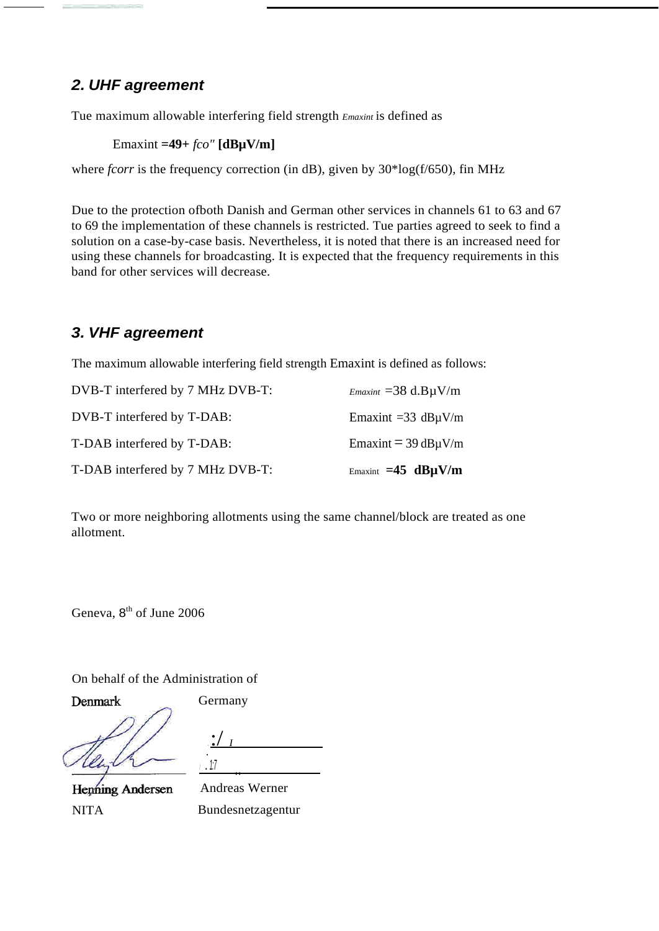## *2. UHF agreement*

Tue maximum allowable interfering field strength *Emaxint* is defined as

Emaxint **=49+** *fco"* **[dBµV/m]**

where *fcorr* is the frequency correction (in dB), given by  $30*log(f/650)$ , fin MHz

Due to the protection ofboth Danish and German other services in channels 61 to 63 and 67 to 69 the implementation of these channels is restricted. Tue parties agreed to seek to find a solution on a case-by-case basis. Nevertheless, it is noted that there is an increased need for using these channels for broadcasting. It is expected that the frequency requirements in this band for other services will decrease.

## *3. VHF agreement*

The maximum allowable interfering field strength Emaxint is defined as follows:

| T-DAB interfered by 7 MHz DVB-T: | Emaxint $=45$ dB $\mu$ V/m     |
|----------------------------------|--------------------------------|
| T-DAB interfered by T-DAB:       | Emaxint $=$ 39 dB $\mu$ V/m    |
| DVB-T interfered by T-DAB:       | Emaxint = $33 \text{ dB}$ µV/m |
| DVB-T interfered by 7 MHz DVB-T: | $E$ maxint = 38 d.B $\mu$ V/m  |

Two or more neighboring allotments using the same channel/block are treated as one allotment.

Geneva, 8<sup>th</sup> of June 2006

On behalf of the Administration of

Denmark

Germany

*.* :/ *<sup>I</sup> .1:7* ..

**Henning Andersen** NITA

Andreas Werner Bundesnetzagentur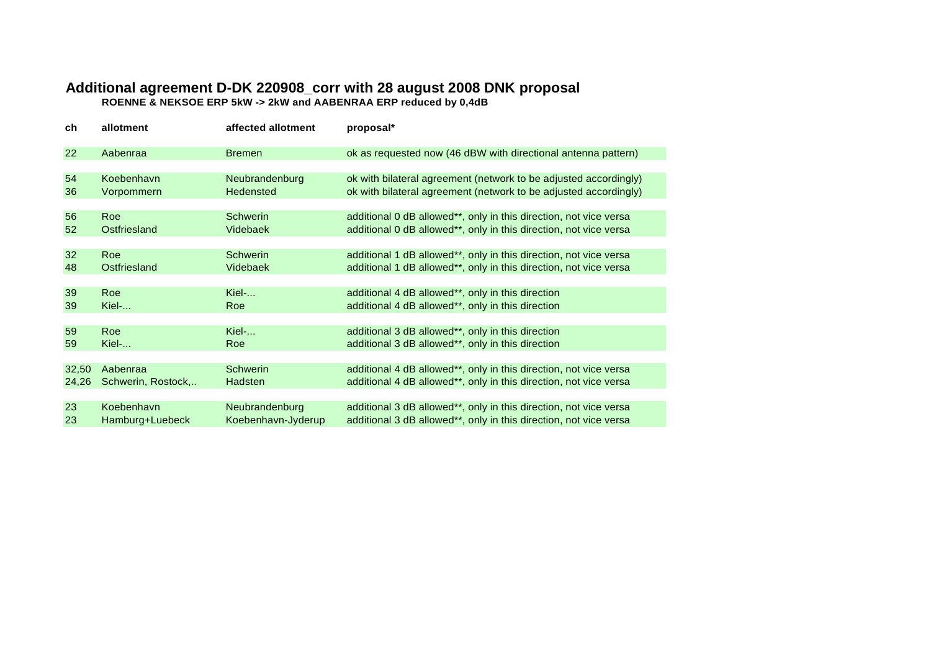## **Additional agreement D-DK 220908\_corr with 28 august 2008 DNK proposal**

**ROENNE & NEKSOE ERP 5kW -> 2kW and AABENRAA ERP reduced by 0,4dB**

| ch    | allotment          | affected allotment | proposal*                                                         |
|-------|--------------------|--------------------|-------------------------------------------------------------------|
| 22    | Aabenraa           | <b>Bremen</b>      | ok as requested now (46 dBW with directional antenna pattern)     |
|       |                    |                    |                                                                   |
| 54    | Koebenhavn         | Neubrandenburg     | ok with bilateral agreement (network to be adjusted accordingly)  |
| 36    | Vorpommern         | <b>Hedensted</b>   | ok with bilateral agreement (network to be adjusted accordingly)  |
|       |                    |                    |                                                                   |
| 56    | <b>Roe</b>         | <b>Schwerin</b>    | additional 0 dB allowed**, only in this direction, not vice versa |
| 52    | Ostfriesland       | Videbaek           | additional 0 dB allowed**, only in this direction, not vice versa |
|       |                    |                    |                                                                   |
| 32    | Roe                | <b>Schwerin</b>    | additional 1 dB allowed**, only in this direction, not vice versa |
| 48    | Ostfriesland       | Videbaek           | additional 1 dB allowed**, only in this direction, not vice versa |
|       |                    |                    |                                                                   |
| 39    | Roe                | Kiel-              | additional 4 dB allowed**, only in this direction                 |
| 39    | Kiel-              | Roe                | additional 4 dB allowed**, only in this direction                 |
|       |                    |                    |                                                                   |
| 59    | <b>Roe</b>         | Kiel-              | additional 3 dB allowed**, only in this direction                 |
| 59    | Kiel-              | Roe                | additional 3 dB allowed**, only in this direction                 |
|       |                    |                    |                                                                   |
| 32,50 | Aabenraa           | <b>Schwerin</b>    | additional 4 dB allowed**, only in this direction, not vice versa |
| 24,26 | Schwerin, Rostock, | Hadsten            | additional 4 dB allowed**, only in this direction, not vice versa |
|       |                    |                    |                                                                   |
| 23    | Koebenhavn         | Neubrandenburg     | additional 3 dB allowed**, only in this direction, not vice versa |
| 23    | Hamburg+Luebeck    | Koebenhavn-Jyderup | additional 3 dB allowed**, only in this direction, not vice versa |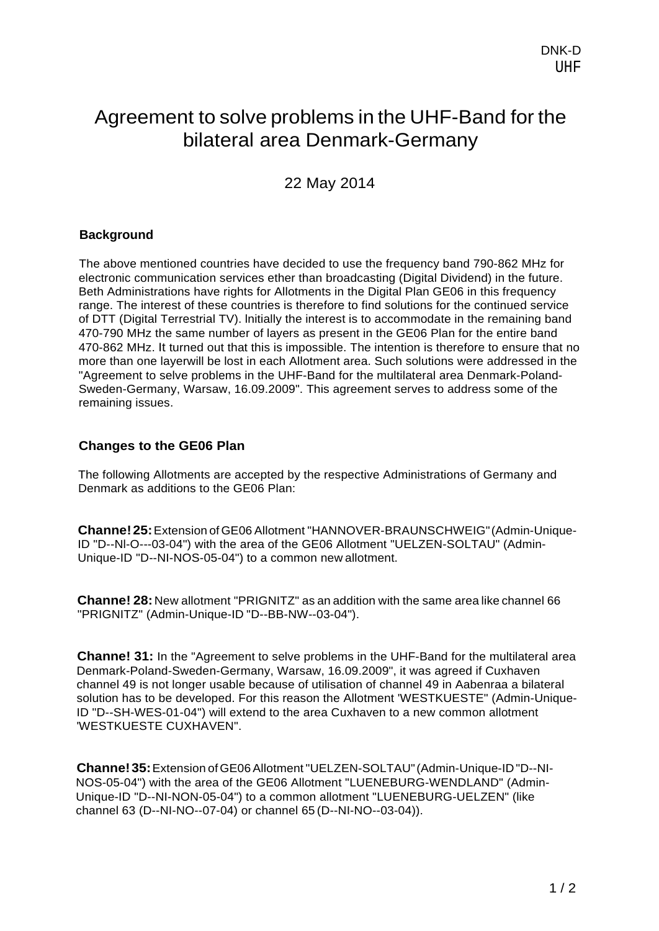## Agreement to solve problems in the UHF-Band for the bilateral area Denmark-Germany

22 May 2014

## **Background**

The above mentioned countries have decided to use the frequency band 790-862 MHz for electronic communication services ether than broadcasting (Digital Dividend) in the future. Beth Administrations have rights for Allotments in the Digital Plan GE06 in this frequency range. The interest of these countries is therefore to find solutions for the continued service of DTT (Digital Terrestrial TV). lnitially the interest is to accommodate in the remaining band 470-790 MHz the same number of layers as present in the GE06 Plan for the entire band 470-862 MHz. It turned out that this is impossible. The intention is therefore to ensure that no more than one layerwill be lost in each Allotment area. Such solutions were addressed in the "Agreement to selve problems in the UHF-Band for the multilateral area Denmark-Poland-Sweden-Germany, Warsaw, 16.09.2009". This agreement serves to address some of the remaining issues.

## **Changes to the GE06 Plan**

The following Allotments are accepted by the respective Administrations of Germany and Denmark as additions to the GE06 Plan:

**Channe!25:**Extension ofGE06 Allotment "HANNOVER-BRAUNSCHWEIG"(Admin-Unique-ID "D--Nl-O---03-04") with the area of the GE06 Allotment "UELZEN-SOLTAU" (Admin-Unique-ID "D--NI-NOS-05-04") to a common new allotment.

**Channe! 28:** New allotment "PRIGNITZ" as an addition with the same area like channel 66 "PRIGNITZ" (Admin-Unique-ID "D--BB-NW--03-04").

**Channe! 31:** In the "Agreement to selve problems in the UHF-Band for the multilateral area Denmark-Poland-Sweden-Germany, Warsaw, 16.09.2009", it was agreed if Cuxhaven channel 49 is not longer usable because of utilisation of channel 49 in Aabenraa a bilateral solution has to be developed. For this reason the Allotment 'WESTKUESTE" (Admin-Unique-ID "D--SH-WES-01-04") will extend to the area Cuxhaven to a new common allotment 'WESTKUESTE CUXHAVEN".

**Channe!35:**Extension ofGE06Allotment"UELZEN-SOLTAU"(Admin-Unique-ID"D--NI-NOS-05-04") with the area of the GE06 Allotment "LUENEBURG-WENDLAND" (Admin-Unique-ID "D--NI-NON-05-04") to a common allotment "LUENEBURG-UELZEN" (like channel 63 (D--NI-NO--07-04) or channel 65 (D--NI-NO--03-04)).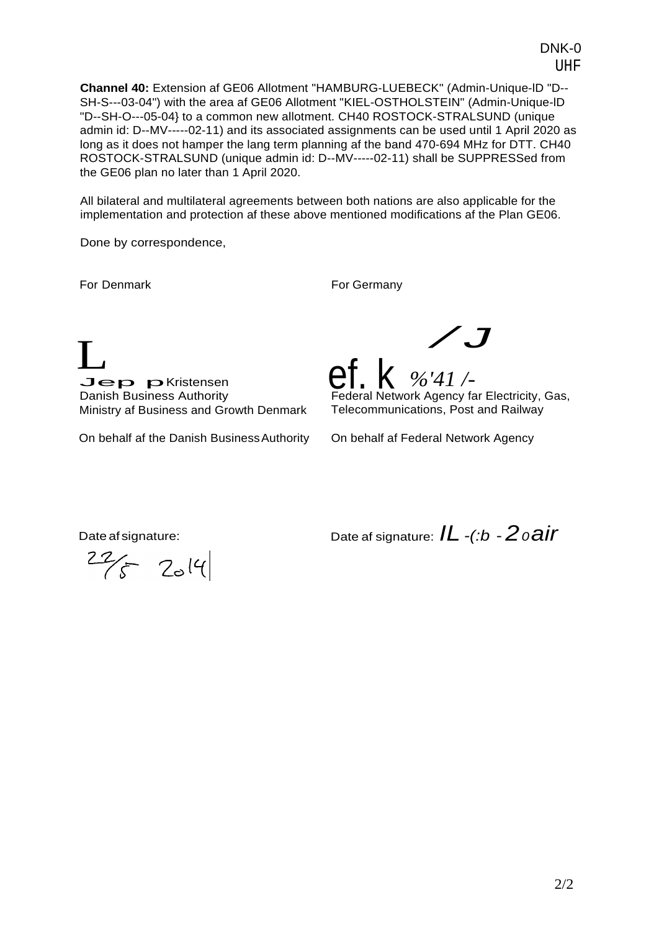UHF **Channel 40:** Extension af GE06 Allotment "HAMBURG-LUEBECK" (Admin-Unique-lD "D-- SH-S---03-04") with the area af GE06 Allotment "KIEL-OSTHOLSTEIN" (Admin-Unique-lD

DNK-0

"D--SH-O---05-04} to a common new allotment. CH40 ROSTOCK-STRALSUND (unique admin id: D--MV-----02-11) and its associated assignments can be used until 1 April 2020 as long as it does not hamper the lang term planning af the band 470-694 MHz for DTT. CH40 ROSTOCK-STRALSUND (unique admin id: D--MV-----02-11) shall be SUPPRESSed from the GE06 plan no later than 1 April 2020.

All bilateral and multilateral agreements between both nations are also applicable for the implementation and protection af these above mentioned modifications af the Plan GE06.

Done by correspondence,

For Denmark For Germany

L<br>
Log pristesses ef k  $\frac{1}{2}$ Jep pKristensen Danish Business Authority Ministry af Business and Growth Denmark

On behalf af the Danish BusinessAuthority

**ef. K** %'41 /-<br>Federal Network Agency far Electricity, Gas, Telecommunications, Post and Railway

On behalf af Federal Network Agency

 $22/5$   $2019$ 

Date af signature: Date af signature: *IL -(:b* -*20air*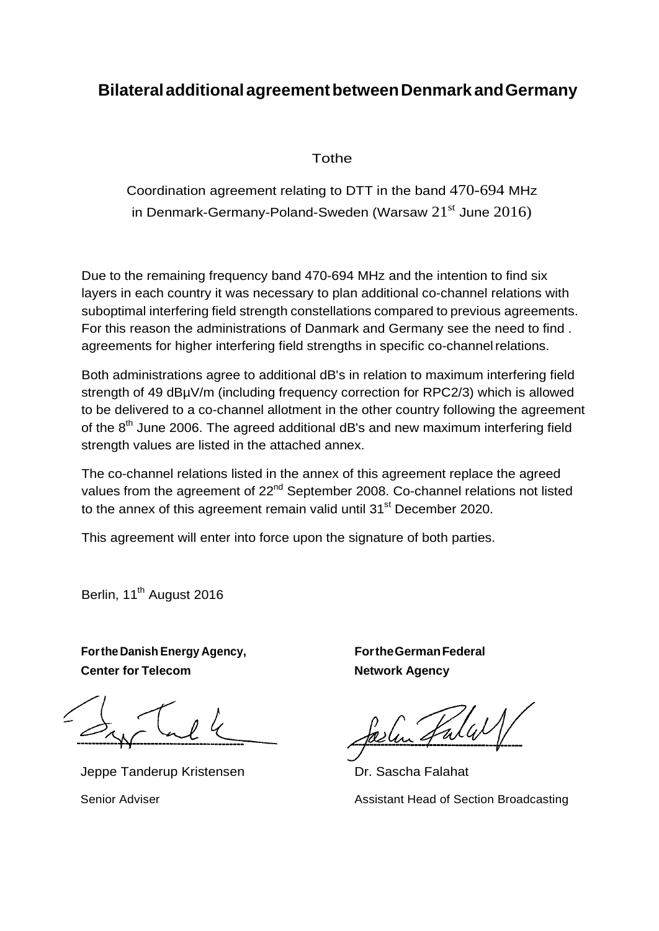## **BilateraladditionalagreementbetweenDenmark andGermany**

## Tothe

Coordination agreement relating to DTT in the band 470-694 MHz in Denmark-Germany-Poland-Sweden (Warsaw  $21<sup>st</sup>$  June  $2016$ )

Due to the remaining frequency band 470-694 MHz and the intention to find six layers in each country it was necessary to plan additional co-channel relations with suboptimal interfering field strength constellations compared to previous agreements. For this reason the administrations of Danmark and Germany see the need to find . agreements for higher interfering field strengths in specific co-channelrelations.

Both administrations agree to additional dB's in relation to maximum interfering field strength of 49 dBµV/m (including frequency correction for RPC2/3) which is allowed to be delivered to a co-channel allotment in the other country following the agreement of the  $8<sup>th</sup>$  June 2006. The agreed additional dB's and new maximum interfering field strength values are listed in the attached annex.

The co-channel relations listed in the annex of this agreement replace the agreed values from the agreement of 22<sup>nd</sup> September 2008. Co-channel relations not listed to the annex of this agreement remain valid until 31<sup>st</sup> December 2020.

This agreement will enter into force upon the signature of both parties.

Berlin, 11<sup>th</sup> August 2016

**FortheDanish Energy Agency, Center for Telecom**

Jeppe Tanderup Kristensen

Senior Adviser

**FortheGermanFederal Network Agency**

Selen Falal

Dr. Sascha Falahat

Assistant Head of Section Broadcasting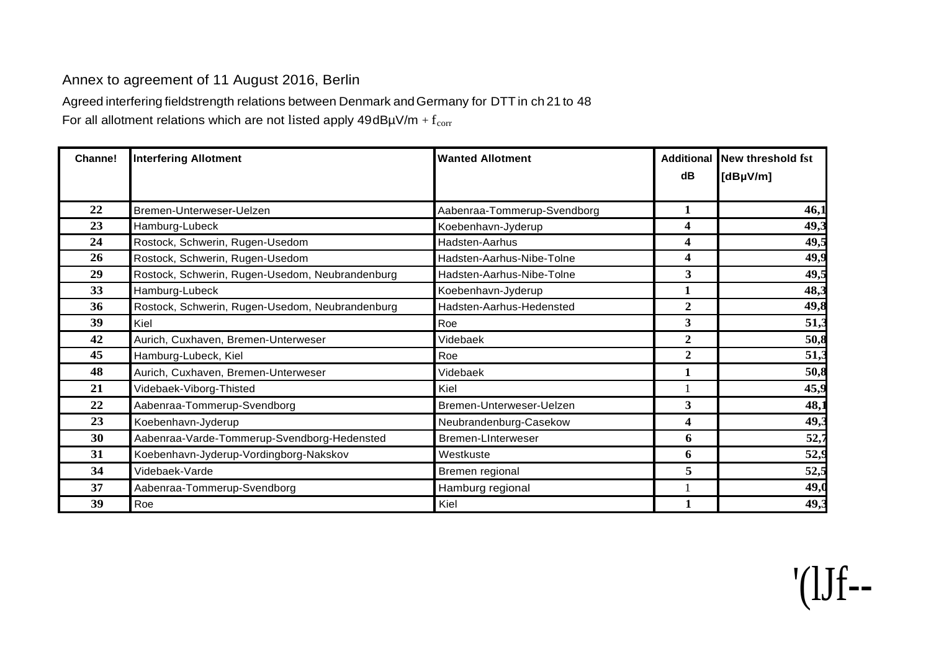## Annex to agreement of 11 August 2016, Berlin

Agreed interfering fieldstrength relations between Denmark andGermany for DTT in ch 21 to 48

For all allotment relations which are not listed apply  $49dB\mu V/m + f_{corr}$ 

| Channe! | <b>Interfering Allotment</b>                    | <b>Wanted Allotment</b>     |                | Additional New threshold fst |
|---------|-------------------------------------------------|-----------------------------|----------------|------------------------------|
|         |                                                 |                             | dB             | [dBµV/m]                     |
|         |                                                 |                             |                |                              |
| 22      | Bremen-Unterweser-Uelzen                        | Aabenraa-Tommerup-Svendborg | 1              | 46,1                         |
| 23      | Hamburg-Lubeck                                  | Koebenhavn-Jyderup          | 4              | 49,3                         |
| 24      | Rostock, Schwerin, Rugen-Usedom                 | Hadsten-Aarhus              | 4              | 49,5                         |
| 26      | Rostock, Schwerin, Rugen-Usedom                 | Hadsten-Aarhus-Nibe-Tolne   | 4              | 49,9                         |
| 29      | Rostock, Schwerin, Rugen-Usedom, Neubrandenburg | Hadsten-Aarhus-Nibe-Tolne   | 3              | 49,5                         |
| 33      | Hamburg-Lubeck                                  | Koebenhavn-Jyderup          |                | 48,3                         |
| 36      | Rostock, Schwerin, Rugen-Usedom, Neubrandenburg | Hadsten-Aarhus-Hedensted    | $\overline{2}$ | 49,8                         |
| 39      | Kiel                                            | Roe                         | 3              | 51,3                         |
| 42      | Aurich, Cuxhaven, Bremen-Unterweser             | Videbaek                    | $\overline{2}$ | 50,8                         |
| 45      | Hamburg-Lubeck, Kiel                            | Roe                         | $\overline{2}$ | 51,3                         |
| 48      | Aurich, Cuxhaven, Bremen-Unterweser             | Videbaek                    | 1              | 50,8                         |
| 21      | Videbaek-Viborg-Thisted                         | Kiel                        |                | 45,9                         |
| 22      | Aabenraa-Tommerup-Svendborg                     | Bremen-Unterweser-Uelzen    | 3              | 48,1                         |
| 23      | Koebenhavn-Jyderup                              | Neubrandenburg-Casekow      | 4              | 49,3                         |
| 30      | Aabenraa-Varde-Tommerup-Svendborg-Hedensted     | <b>Bremen-Linterweser</b>   | 6              | 52,7                         |
| 31      | Koebenhavn-Jyderup-Vordingborg-Nakskov          | Westkuste                   | 6              | 52,9                         |
| 34      | Videbaek-Varde                                  | Bremen regional             | 5              | 52,5                         |
| 37      | Aabenraa-Tommerup-Svendborg                     | Hamburg regional            |                | 49,                          |
| 39      | Roe                                             | Kiel                        |                | 49,3                         |

'(lJf--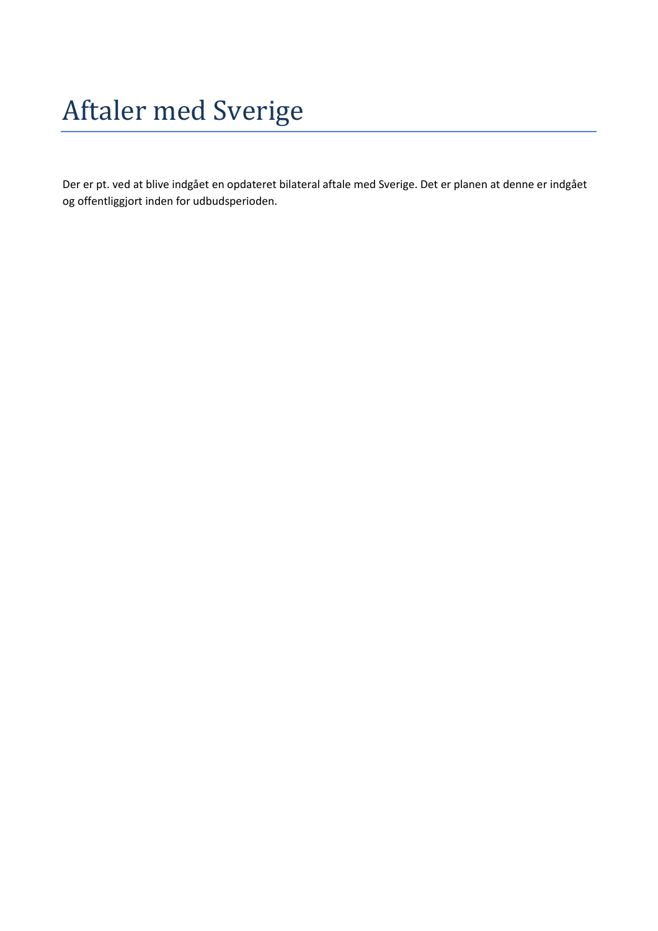# Aftaler med Sverige

Der er pt. ved at blive indgået en opdateret bilateral aftale med Sverige. Det er planen at denne er indgået og offentliggjort inden for udbudsperioden.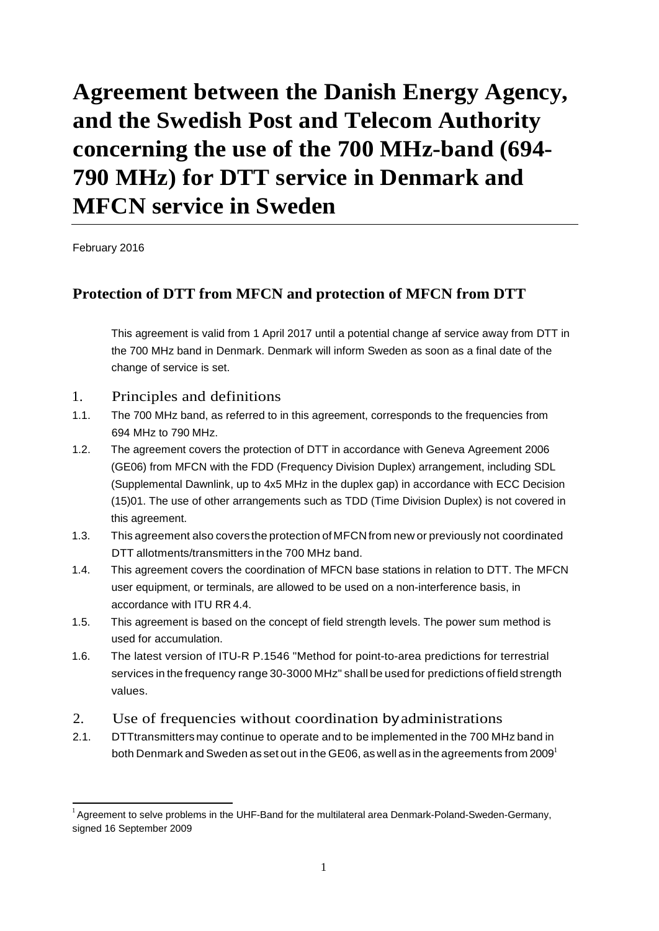## **Agreement between the Danish Energy Agency, and the Swedish Post and Telecom Authority concerning the use of the 700 MHz-band (694- 790 MHz) for DTT service in Denmark and MFCN service in Sweden**

February 2016

## **Protection of DTT from MFCN and protection of MFCN from DTT**

This agreement is valid from 1 April 2017 until a potential change af service away from DTT in the 700 MHz band in Denmark. Denmark will inform Sweden as soon as a final date of the change of service is set.

## 1. Principles and definitions

- 1.1. The 700 MHz band, as referred to in this agreement, corresponds to the frequencies from 694 MHz to 790 MHz.
- 1.2. The agreement covers the protection of DTT in accordance with Geneva Agreement 2006 (GE06) from MFCN with the FDD (Frequency Division Duplex) arrangement, including SDL (Supplemental Dawnlink, up to 4x5 MHz in the duplex gap) in accordance with ECC Decision (15)01. The use of other arrangements such as TDD (Time Division Duplex) is not covered in this agreement.
- 1.3. This agreement also covers the protection of MFCN from new or previously not coordinated DTT allotments/transmitters in the 700 MHz band.
- 1.4. This agreement covers the coordination of MFCN base stations in relation to DTT. The MFCN user equipment, or terminals, are allowed to be used on a non-interference basis, in accordance with ITU RR 4.4.
- 1.5. This agreement is based on the concept of field strength levels. The power sum method is used for accumulation.
- 1.6. The latest version of ITU-R P.1546 "Method for point-to-area predictions for terrestrial services in the frequency range 30-3000 MHz" shall be used for predictions of field strength values.
- 2. Use of frequencies without coordination byadministrations
- 2.1. DTTtransmitters may continue to operate and to be implemented in the 700 MHz band in both Denmark and Sweden as set out in the GE06, as well as in the agreements from 2009<sup>1</sup>

 $<sup>1</sup>$  Agreement to selve problems in the UHF-Band for the multilateral area Denmark-Poland-Sweden-Germany,</sup> signed 16 September 2009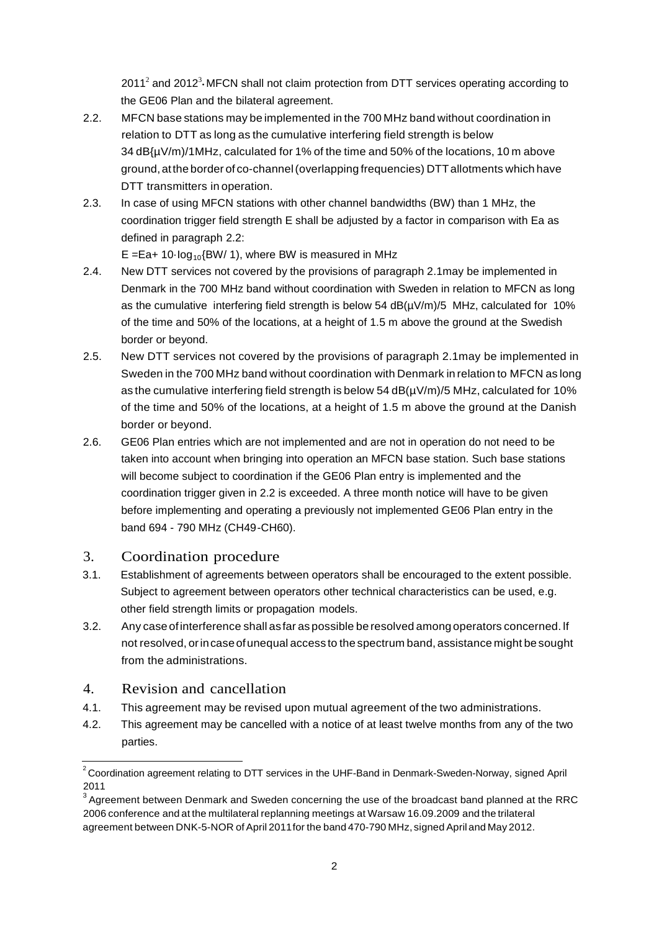2011<sup>2</sup> and 2012<sup>3</sup> MFCN shall not claim protection from DTT services operating according to the GE06 Plan and the bilateral agreement.

- 2.2. MFCN base stations may be implemented in the 700 MHz band without coordination in relation to DTT as long as the cumulative interfering field strength is below 34 dB{µV/m)/1MHz, calculated for 1% of the time and 50% of the locations, 10 m above ground,atthe border of co-channel(overlapping frequencies) DTTallotments which have DTT transmitters in operation.
- 2.3. In case of using MFCN stations with other channel bandwidths (BW) than 1 MHz, the coordination trigger field strength E shall be adjusted by a factor in comparison with Ea as defined in paragraph 2.2:

 $E = Ea + 10 \cdot log_{10}$  (BW/ 1), where BW is measured in MHz

- 2.4. New DTT services not covered by the provisions of paragraph 2.1may be implemented in Denmark in the 700 MHz band without coordination with Sweden in relation to MFCN as long as the cumulative interfering field strength is below 54  $dB(\mu V/m)/5$  MHz, calculated for 10% of the time and 50% of the locations, at a height of 1.5 m above the ground at the Swedish border or beyond.
- 2.5. New DTT services not covered by the provisions of paragraph 2.1may be implemented in Sweden in the 700 MHz band without coordination with Denmark in relation to MFCN as long as the cumulative interfering field strength is below  $54$  dB( $\mu$ V/m)/5 MHz, calculated for 10% of the time and 50% of the locations, at a height of 1.5 m above the ground at the Danish border or beyond.
- 2.6. GE06 Plan entries which are not implemented and are not in operation do not need to be taken into account when bringing into operation an MFCN base station. Such base stations will become subject to coordination if the GE06 Plan entry is implemented and the coordination trigger given in 2.2 is exceeded. A three month notice will have to be given before implementing and operating a previously not implemented GE06 Plan entry in the band 694 - 790 MHz (CH49-CH60).

## 3. Coordination procedure

- 3.1. Establishment of agreements between operators shall be encouraged to the extent possible. Subject to agreement between operators other technical characteristics can be used, e.g. other field strength limits or propagation models.
- 3.2. Any caseofinterference shall asfar as possible be resolved amongoperators concerned. lf not resolved, orincaseofunequal access to the spectrum band, assistance might be sought from the administrations.

## 4. Revision and cancellation

- 4.1. This agreement may be revised upon mutual agreement of the two administrations.
- 4.2. This agreement may be cancelled with a notice of at least twelve months from any of the two parties.

 $2^2$  Coordination agreement relating to DTT services in the UHF-Band in Denmark-Sweden-Norway, signed April 2011

 $^3$  Agreement between Denmark and Sweden concerning the use of the broadcast band planned at the RRC 2006 conference and at the multilateral replanning meetings at Warsaw 16.09.2009 and the trilateral agreement between DNK-5-NOR of April 2011 for the band 470-790 MHz, signed April and May 2012.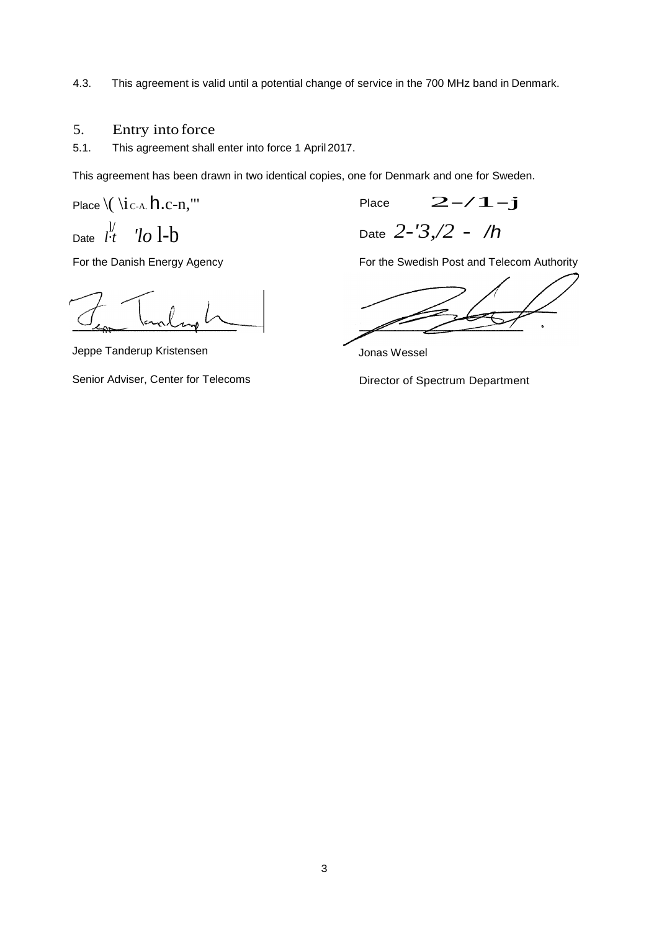4.3. This agreement is valid until a potential change of service in the 700 MHz band in Denmark.

## 5. Entry into force

5.1. This agreement shall enter into force 1 April 2017.

This agreement has been drawn in two identical copies, one for Denmark and one for Sweden.

Place  $\setminus (\setminus i_{\text{C-A}} h.c$ -n,"' Place  $2-\angle 1-j$ 

Date  $\frac{1}{l \cdot t}$ 

Date *l·t 'lo* l-b Date *2-'3,/2* - */h*

For the Danish Energy Agency

Jeppe Tanderup Kristensen

Senior Adviser, Center for Telecoms

For the Swedish Post and Telecom Authority

Jonas Wessel

Director of Spectrum Department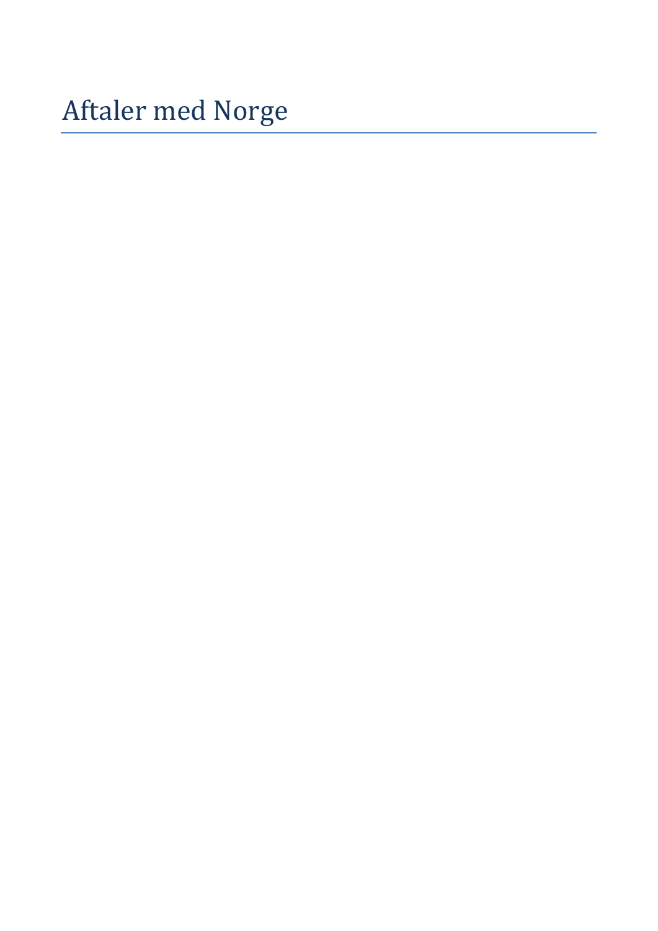Aftaler med Norge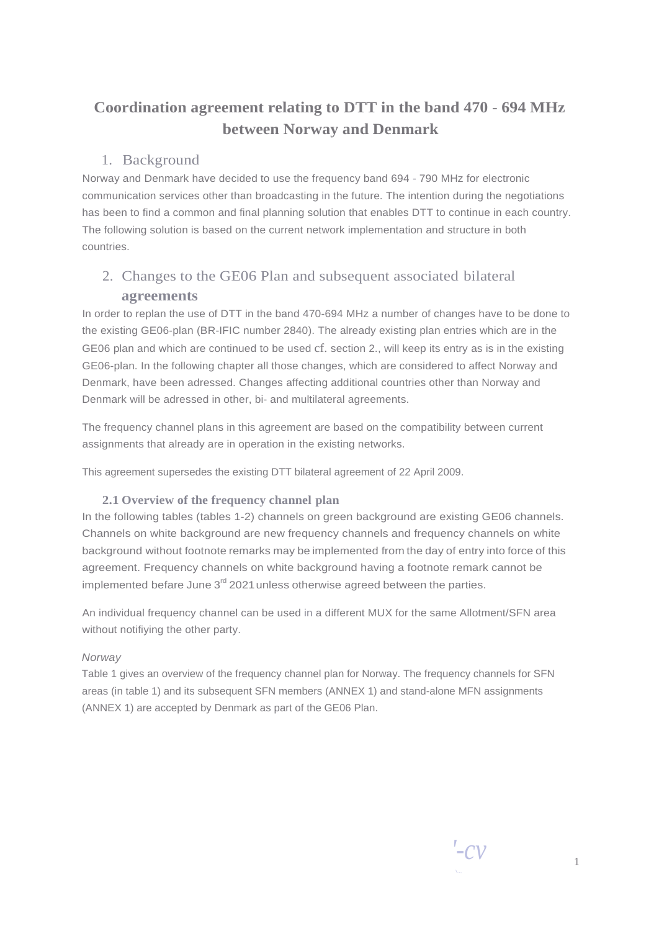## **Coordination agreement relating to DTT in the band 470** - **694 MHz between Norway and Denmark**

## 1. Background

Norway and Denmark have decided to use the frequency band 694 - 790 MHz for electronic communication services other than broadcasting in the future. The intention during the negotiations has been to find a common and final planning solution that enables DTT to continue in each country. The following solution is based on the current network implementation and structure in both countries.

## 2. Changes to the GE06 Plan and subsequent associated bilateral **agreements**

In order to replan the use of DTT in the band 470-694 MHz a number of changes have to be done to the existing GE06-plan (BR-IFIC number 2840). The already existing plan entries which are in the GE06 plan and which are continued to be used cf. section 2., will keep its entry as is in the existing GE06-plan. In the following chapter all those changes, which are considered to affect Norway and Denmark, have been adressed. Changes affecting additional countries other than Norway and Denmark will be adressed in other, bi- and multilateral agreements.

The frequency channel plans in this agreement are based on the compatibility between current assignments that already are in operation in the existing networks.

This agreement supersedes the existing DTT bilateral agreement of 22 April 2009.

## **2.1 Overview of the frequency channel plan**

In the following tables (tables 1-2) channels on green background are existing GE06 channels. Channels on white background are new frequency channels and frequency channels on white background without footnote remarks may be implemented from the day of entry into force of this agreement. Frequency channels on white background having a footnote remark cannot be implemented befare June  $3^{rd}$  2021 unless otherwise agreed between the parties.

An individual frequency channel can be used in a different MUX for the same Allotment/SFN area without notifiying the other party.

#### *Norway*

Table 1 gives an overview of the frequency channel plan for Norway. The frequency channels for SFN areas (in table 1) and its subsequent SFN members (ANNEX 1) and stand-alone MFN assignments (ANNEX 1) are accepted by Denmark as part of the GE06 Plan.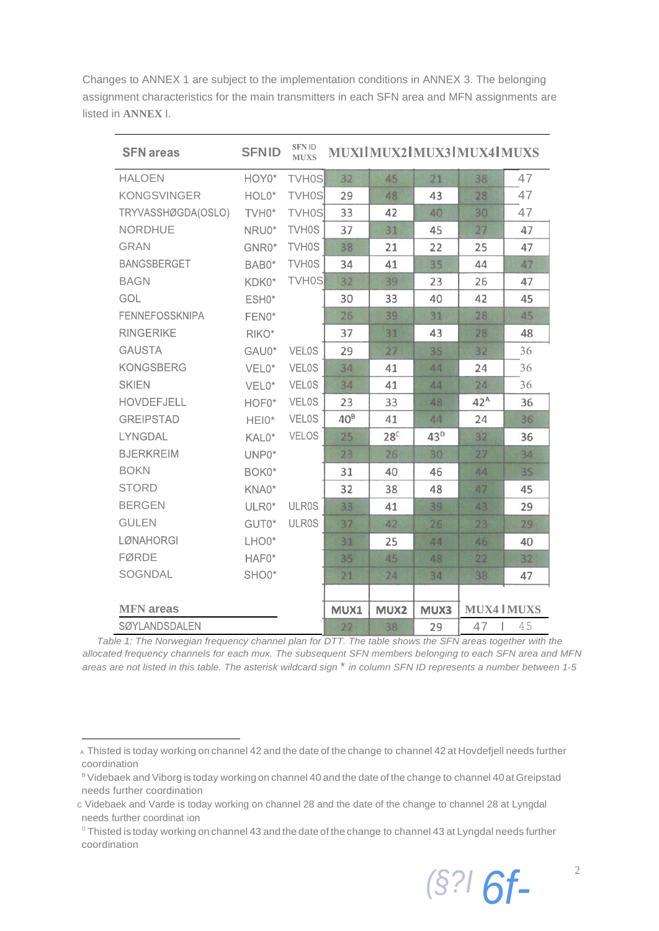Changes to ANNEX 1 are subject to the implementation conditions in ANNEX 3. The belonging assignment characteristics for the main transmitters in each SFN area and MFN assignments are listed in **ANNEX** l.

| <b>SFN</b> areas      | <b>SFNID</b> | <b>SFN ID</b><br><b>MUXS</b> |        |                 |                 | MUXI MUX2 MUX3 MUX4 MUXS |    |
|-----------------------|--------------|------------------------------|--------|-----------------|-----------------|--------------------------|----|
| <b>HALOEN</b>         | HOY0*        | <b>TVH0S</b>                 | 32     | 45              | 21              | 38                       | 47 |
| <b>KONGSVINGER</b>    | HOL0*        | <b>TVH0S</b>                 | 29     | 48              | 43              | 28                       | 47 |
| TRYVASSHØGDA(OSLO)    | TVH0*        | <b>TVH0S</b>                 | 33     | 42              | 40              | 30                       | 47 |
| <b>NORDHUE</b>        | NRU0*        | TVH0S                        | 37     | 31              | 45              | 27                       | 47 |
| <b>GRAN</b>           | GNR0*        | TVH0S                        | 38     | 21              | 22              | 25                       | 47 |
| <b>BANGSBERGET</b>    | BAB0*        | TVH0S                        | 34     | 41              | 35              | 44                       | 47 |
| <b>BAGN</b>           | KDK0*        | <b>TVH0S</b>                 | 32     | 39              | 23              | 26                       | 47 |
| GOL                   | ESH0*        |                              | 30     | 33              | 40              | 42                       | 45 |
| <b>FENNEFOSSKNIPA</b> | FEN0*        |                              | 26     | 39              | 31              | 28                       | 45 |
| <b>RINGERIKE</b>      | RIKO*        |                              | 37     | 31              | 43              | 28                       | 48 |
| <b>GAUSTA</b>         | GAU0*        | <b>VELOS</b>                 | 29     | 27              | 35              | 32                       | 36 |
| <b>KONGSBERG</b>      | VEL0*        | <b>VELOS</b>                 | 34     | 41              | 44              | 24                       | 36 |
| <b>SKIEN</b>          | VEL0*        | <b>VELOS</b>                 | 34     | 41              | 44              | 24                       | 36 |
| <b>HOVDEFJELL</b>     | HOF0*        | <b>VELOS</b>                 | 23     | 33              | 48              | $42^A$                   | 36 |
| <b>GREIPSTAD</b>      | HEI0*        | <b>VELOS</b>                 | $40^8$ | 41              | 44              | 24                       | 36 |
| <b>LYNGDAL</b>        | KAL0*        | <b>VELOS</b>                 | 25     | 28 <sup>C</sup> | 43 <sup>D</sup> | 32                       | 36 |
| <b>BJERKREIM</b>      | UNP0*        |                              | 23     | 26              | 30              | 27                       | 34 |
| <b>BOKN</b>           | BOK0*        |                              | 31     | 40              | 46              | 44                       | 35 |
| <b>STORD</b>          | KNA0*        |                              | 32     | 38              | 48              | 47                       | 45 |
| <b>BERGEN</b>         | ULR0*        | <b>ULR0S</b>                 | 33     | 41              | 39              | 43                       | 29 |
| <b>GULEN</b>          | GUT0*        | <b>ULR0S</b>                 | 37     | 42              | 26              | 23                       | 29 |
| <b>LØNAHORGI</b>      | LHO0*        |                              | 31     | 25              | 44              | 46                       | 40 |
| <b>FØRDE</b>          | HAF0*        |                              | 35     | 45              | 48              | 22                       | 32 |
| <b>SOGNDAL</b>        | SHO0*        |                              | 21     | 24              | 34              | 38                       | 47 |
|                       |              |                              |        |                 |                 |                          |    |
| <b>MFN</b> areas      |              |                              | MUX1   | MUX2            | MUX3            | <b>MUX4 MUXS</b>         |    |
| <b>SØYLANDSDALEN</b>  |              |                              | 22     | 38              | 29              | 47                       | 45 |

*Table 1: The Norwegian frequency channel plan for DTT. The table shows the SFN areas together with the allocated frequency channels for each mux. The subsequent SFN members belonging to each SFN area and MFN areas are not listed in this table. The asterisk wildcard sign* \* *in column SFN ID represents a number between 1-5*

<sup>&</sup>lt;sup>0</sup> Thisted is today working on channel 43 and the date of the change to channel 43 at Lyngdal needs further coordination



<sup>A</sup> Thisted is today working on channel 42 and the date of the change to channel 42 at Hovdefjell needs further coordination

<sup>&</sup>lt;sup>8</sup> Videbaek and Viborg is today working on channel 40 and the date of the change to channel 40 at Greipstad needs further coordination

c Videbaek and Varde is today working on channel 28 and the date of the change to channel 28 at Lyngdal needs further coordinat ion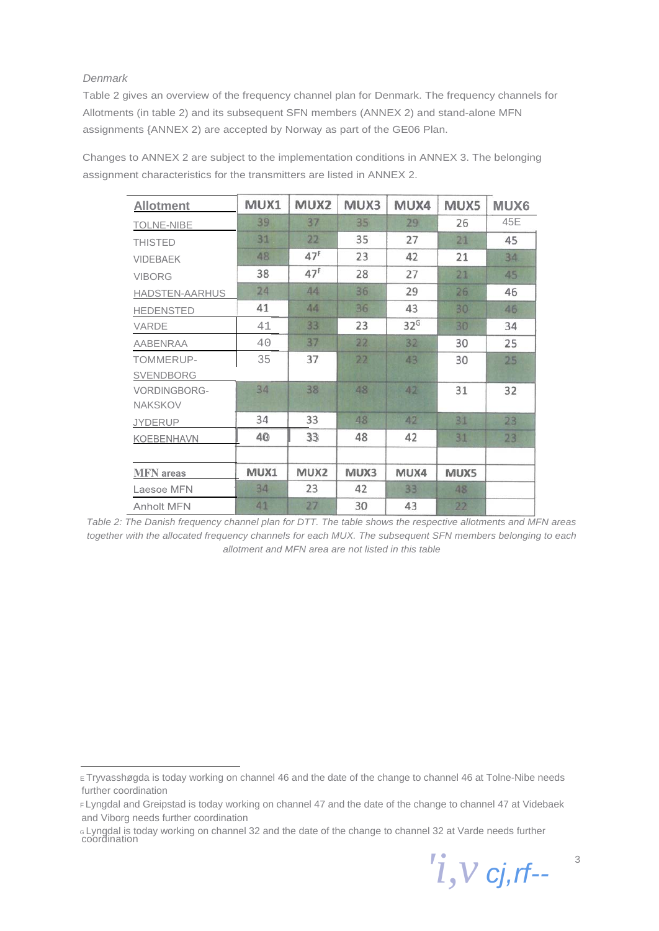#### *Denmark*

Table 2 gives an overview of the frequency channel plan for Denmark. The frequency channels for Allotments (in table 2) and its subsequent SFN members (ANNEX 2) and stand-alone MFN assignments {ANNEX 2) are accepted by Norway as part of the GE06 Plan.

Changes to ANNEX 2 are subject to the implementation conditions in ANNEX 3. The belonging assignment characteristics for the transmitters are listed in ANNEX 2.

| <b>Allotment</b>               | MUX1 | MUX2             | MUX3 | MUX4            | MUX5 | <b>MUX6</b> |
|--------------------------------|------|------------------|------|-----------------|------|-------------|
| <b>TOLNE-NIBE</b>              | 39   | 37               | 35   | 29              | 26   | 45E         |
| <b>THISTED</b>                 | 31   | 22               | 35   | 27              | 21   | 45          |
| <b>VIDEBAEK</b>                | 48   | 47 <sup>F</sup>  | 23   | 42              | 21   | 34          |
| <b>VIBORG</b>                  | 38   | 47 <sup>F</sup>  | 28   | 27              | 21   | 45          |
| HADSTEN-AARHUS                 | 24   | 44               | 36   | 29              | 26   | 46          |
| <b>HEDENSTED</b>               | 41   | 44               | 36   | 43              | 30   | 46          |
| <b>VARDE</b>                   | 41   | 33               | 23   | 32 <sup>6</sup> | 30   | 34          |
| AABENRAA                       | 40   | 37               | 22   | 32              | 30   | 25          |
| TOMMERUP-<br><b>SVENDBORG</b>  | 35   | 37               | 22   | 43              | 30   | 25          |
| VORDINGBORG-<br><b>NAKSKOV</b> | 34   | 38               | 48   | 42              | 31   | 32          |
| <b>JYDERUP</b>                 | 34   | 33               | 48   | 42              | 31   | 23          |
| <b>KOEBENHAVN</b>              | 40   | 33               | 48   | 42              | 31   | 23          |
|                                |      |                  |      |                 |      |             |
| <b>MFN</b> areas               | MUX1 | MUX <sub>2</sub> | MUX3 | MUX4            | MUX5 |             |
| Laesoe MFN                     | 34   | 23               | 42   | 33              | 48   |             |
| <b>Anholt MFN</b>              | 41   | 27               | 30   | 43              | 22   |             |

*Table 2: The Danish frequency channel plan for DTT. The table shows the respective allotments and MFN areas together with the allocated frequency channels for each MUX. The subsequent SFN members belonging to each allotment and MFN area are not listed in this table*

 $'i, V$  *cj,rf--*  $3$ 

E Tryvasshøgda is today working on channel 46 and the date of the change to channel 46 at Tolne-Nibe needs further coordination

F Lyngdal and Greipstad is today working on channel 47 and the date of the change to channel 47 at Videbaek and Viborg needs further coordination

G Lyngdal is today working on channel 32 and the date of the change to channel 32 at Varde needs further coordination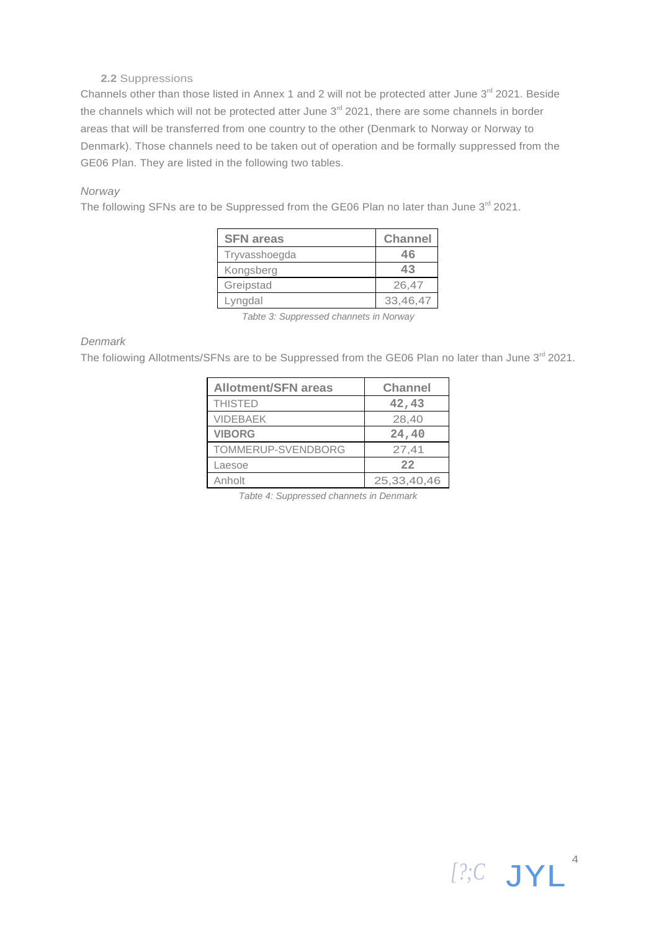#### **2.2** Suppressions

Channels other than those listed in Annex 1 and 2 will not be protected atter June 3<sup>rd</sup> 2021. Beside the channels which will not be protected atter June  $3<sup>rd</sup>$  2021, there are some channels in border areas that will be transferred from one country to the other (Denmark to Norway or Norway to Denmark). Those channels need to be taken out of operation and be formally suppressed from the GE06 Plan. They are listed in the following two tables.

#### *Norway*

The following SFNs are to be Suppressed from the GE06 Plan no later than June  $3<sup>rd</sup>$  2021.

| <b>SFN</b> areas | <b>Channel</b> |
|------------------|----------------|
| Tryvasshoegda    | 46             |
| Kongsberg        | 43             |
| Greipstad        | 26,47          |
| Lyngdal          | 33,46,47       |

*Tabte 3: Suppressed channets in Norway*

#### *Denmark*

The foliowing Allotments/SFNs are to be Suppressed from the GE06 Plan no later than June 3rd 2021.

| <b>Allotment/SFN areas</b> | <b>Channel</b> |
|----------------------------|----------------|
| <b>THISTED</b>             | 42,43          |
| <b>VIDEBAEK</b>            | 28,40          |
| <b>VIBORG</b>              | 24,40          |
| TOMMERUP-SVENDBORG         | 27,41          |
| Laesoe                     | 22             |
| Anholt                     | 25,33,40,46    |

*Tabte 4: Suppressed channets in Denmark*

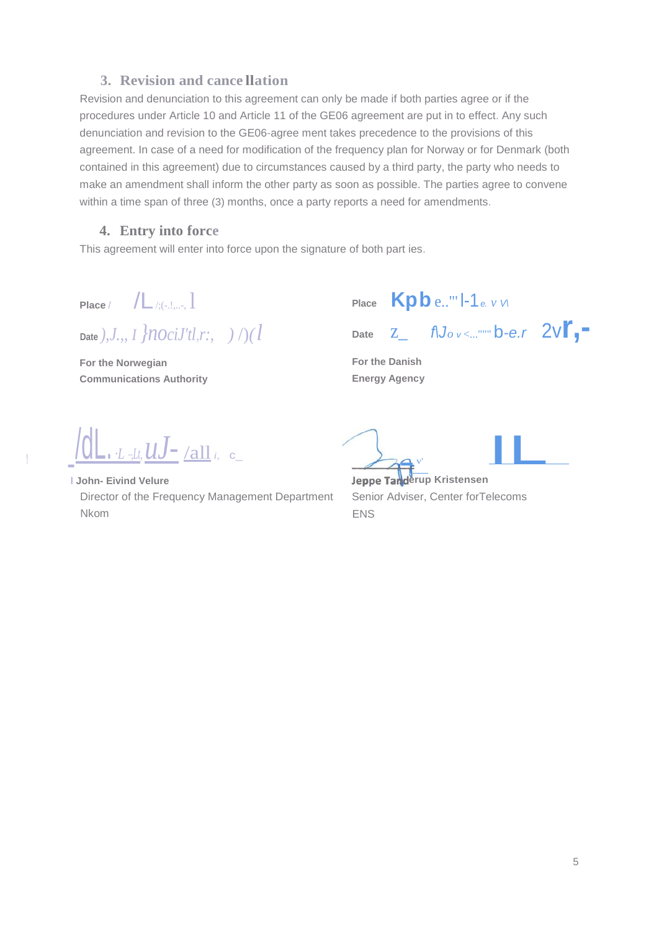## **3. Revision and cance llation**

Revision and denunciation to this agreement can only be made if both parties agree or if the procedures under Article 10 and Article 11 of the GE06 agreement are put in to effect. Any such denunciation and revision to the GE06-agree ment takes precedence to the provisions of this agreement. In case of a need for modification of the frequency plan for Norway or for Denmark (both contained in this agreement) due to circumstances caused by a third party, the party who needs to make an amendment shall inform the other party as soon as possible. The parties agree to convene within a time span of three (3) months, once a party reports a need for amendments.

#### **4. Entry into force**

This agreement will enter into force upon the signature of both part ies.

**Place** / **/L**/;(-,!,,,, 1

**Date** *),J.,, I }nociJ'tl*,*r:, )* /)*(l*

**For the Norwegian Communications Authority**

**Place Kpb** e.."' l-1*e. <sup>v</sup> V\* **Date** z\_ *f\Jo v* <..."""b*-e.r* 2v**r,-**

**For the Danish Energy Agency**

, \_/dL.*·L --,Lt,uJ-* /all*i,* c\_

**l John- Eivind Velure** Director of the Frequency Management Department Nkom

**erup**<br>**erup Kristensen**  $\frac{1}{\sqrt{1-\frac{1}{2}}\sqrt{\frac{1}{2}}\sqrt{\frac{1}{2}}}}$  ILID Kristensen

Senior Adviser, Center forTelecoms ENS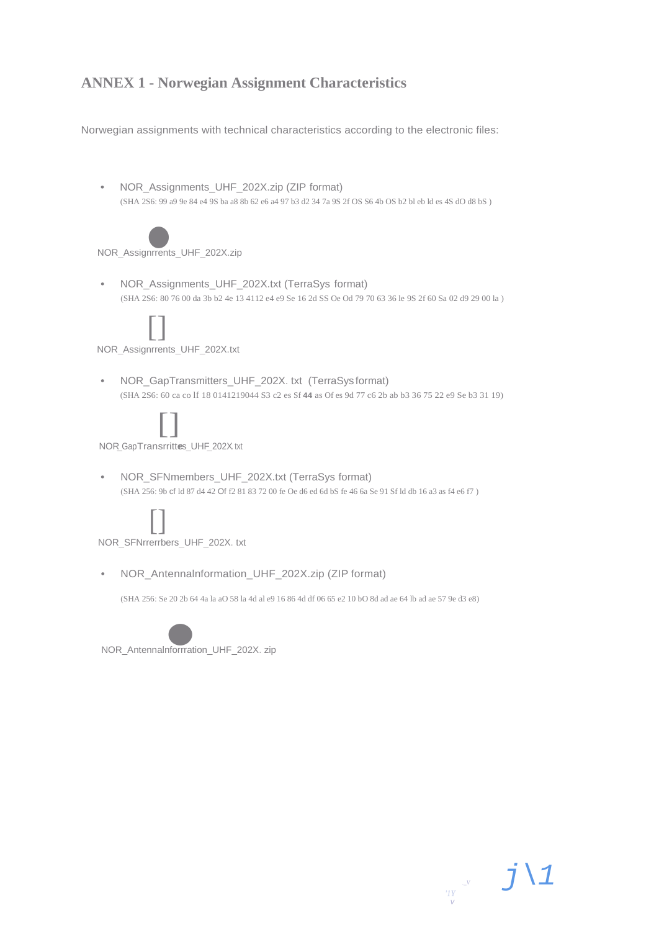## **ANNEX 1 - Norwegian Assignment Characteristics**

Norwegian assignments with technical characteristics according to the electronic files:

• NOR\_Assignments\_UHF\_202X.zip (ZIP format) (SHA 2S6: 99 a9 9e 84 e4 9S ba a8 8b 62 e6 a4 97 b3 d2 34 7a 9S 2f OS S6 4b OS b2 bl eb ld es 4S dO d8 bS )



NOR\_Assignrrents\_UHF\_202X.zip

• NOR\_Assignments\_UHF\_202X.txt (TerraSys format) (SHA 2S6: 80 76 00 da 3b b2 4e 13 4112 e4 e9 Se 16 2d SS Oe Od 79 70 63 36 le 9S 2f 60 Sa 02 d9 29 00 la )



NOR\_Assignrrents\_UHF\_202X.txt

• NOR\_GapTransmitters\_UHF\_202X. txt (TerraSys format) (SHA 2S6: 60 ca co lf 18 0141219044 S3 c2 es Sf **44** as Of es 9d 77 c6 2b ab b3 36 75 22 e9 Se b3 31 19)



• NOR\_SFNmembers\_UHF\_202X.txt (TerraSys format) (SHA 256: 9b cf ld 87 d4 42 Of f2 81 83 72 00 fe Oe d6 ed 6d bS fe 46 6a Se 91 Sf ld db 16 a3 as f4 e6 f7 )



NOR\_SFNrrerrbers\_UHF\_202X. txt

• NOR\_Antennalnformation\_UHF\_202X.zip (ZIP format)

(SHA 256: Se 20 2b 64 4a la aO 58 la 4d al e9 16 86 4d df 06 65 e2 10 bO 8d ad ae 64 lb ad ae 57 9e d3 e8)

*'1Y v*

*.\_V j\1*



NOR\_Antennalnforrration\_UHF\_202X. zip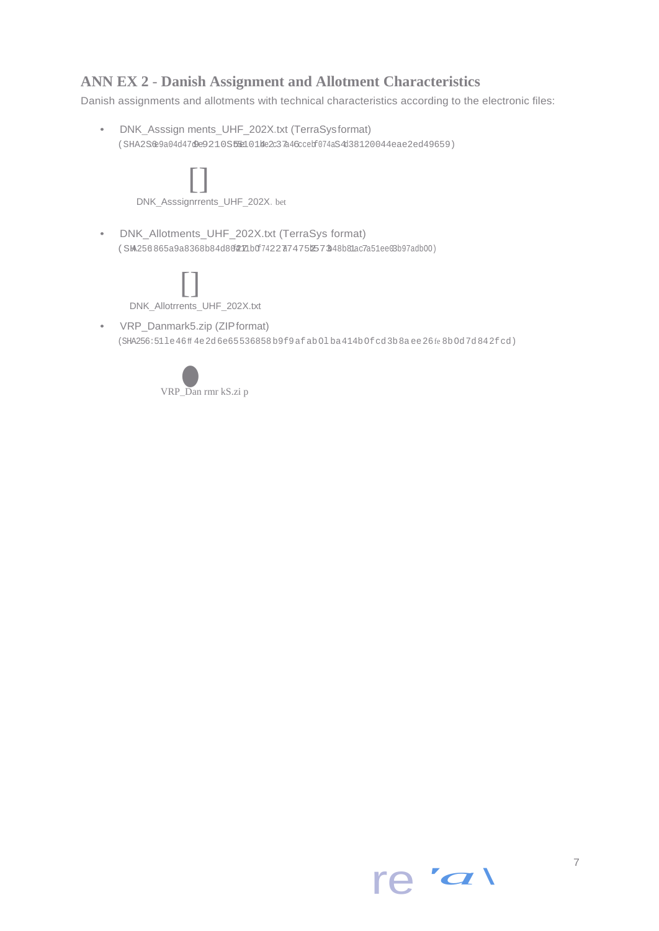## **ANN EX 2** - **Danish Assignment and Allotment Characteristics**

Danish assignments and allotments with technical characteristics according to the electronic files:

• DNK\_Asssign ments\_UHF\_202X.txt (TerraSysformat) (SHA2S6e9a04d47de9210S55e101Me2c37a46ccebf074aS4d38120044eae2ed49659)



(SHA256:51le46ff 4e2d6e65536858b9f9afabOl ba414bOfcd3b8a ee26fe 8bOd7d842fcd)



re *'a\*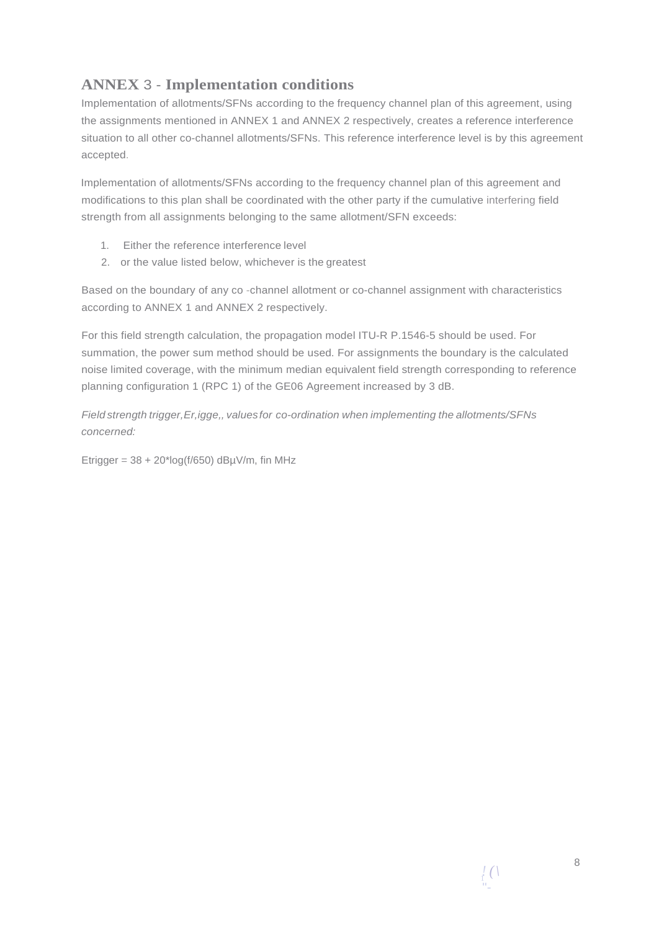## **ANNEX** 3 - **Implementation conditions**

Implementation of allotments/SFNs according to the frequency channel plan of this agreement, using the assignments mentioned in ANNEX 1 and ANNEX 2 respectively, creates a reference interference situation to all other co-channel allotments/SFNs. This reference interference level is by this agreement accepted.

Implementation of allotments/SFNs according to the frequency channel plan of this agreement and modifications to this plan shall be coordinated with the other party if the cumulative interfering field strength from all assignments belonging to the same allotment/SFN exceeds:

- 1. Either the reference interference level
- 2. or the value listed below, whichever is the greatest

Based on the boundary of any co -channel allotment or co-channel assignment with characteristics according to ANNEX 1 and ANNEX 2 respectively.

For this field strength calculation, the propagation model ITU-R P.1546-5 should be used. For summation, the power sum method should be used. For assignments the boundary is the calculated noise limited coverage, with the minimum median equivalent field strength corresponding to reference planning configuration 1 (RPC 1) of the GE06 Agreement increased by 3 dB.

*Field strength trigger,Er,igge,, valuesfor co-ordination when implementing the allotments/SFNs concerned:*

Etrigger =  $38 + 20$ \*log(f/650) dB $\mu$ V/m, fin MHz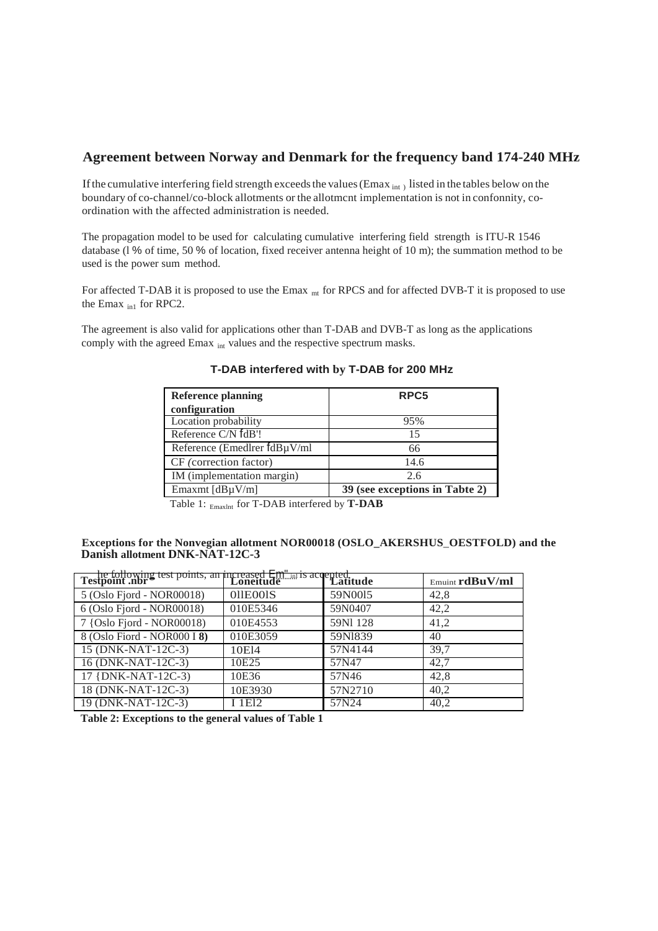#### **Agreement between Norway and Denmark for the frequency band 174-240 MHz**

If the cumulative interfering field strength exceeds the values (Emax int ) listed in the tables below on the boundary of co-channel/co-block allotments or the allotmcnt implementation is not in confonnity, coordination with the affected administration is needed.

The propagation model to be used for calculating cumulative interfering field strength is ITU-R 1546 database (l % of time, 50 % of location, fixed receiver antenna height of 10 m); the summation method to be used is the power sum method.

For affected T-DAB it is proposed to use the Emax <sub>mt</sub> for RPCS and for affected DVB-T it is proposed to use the Emax  $_{\text{in1}}$  for RPC2.

The agreement is also valid for applications other than T-DAB and DVB-T as long as the applications comply with the agreed Emax <sub>int</sub> values and the respective spectrum masks.

| <b>Reference planning</b>         | RPC <sub>5</sub>               |
|-----------------------------------|--------------------------------|
| configuration                     |                                |
| Location probability              | 95%                            |
| Reference C/N fdB'!               | 15                             |
| Reference (Emedlrer $fdB\mu V/ml$ | 66                             |
| CF (correction factor)            | 14.6                           |
| IM (implementation margin)        | 2.6                            |
| Emaxmt $[dB\mu V/m]$              | 39 (see exceptions in Tabte 2) |

#### **T-DAB interfered with by T-DAB for 200 MHz**

Table 1: Emaxlnt for T-DAB interfered by **T-DAB**

#### **Exceptions for the Nonvegian allotment NOR00018 (OSLO\_AKERSHUS**\_**OESTFOLD) and the Danish allotment DNK-NAT-12C-3**

| the following test points, an increased Em <sup>"</sup> is accepted.<br>Testpoint .nbr |          |          | $E$ <sub>muint</sub> $rdBuV/ml$ |
|----------------------------------------------------------------------------------------|----------|----------|---------------------------------|
| 5 (Oslo Fjord - NOR00018)                                                              | 011E001S | 59N0015  | 42,8                            |
| 6 (Oslo Fjord - NOR00018)                                                              | 010E5346 | 59N0407  | 42,2                            |
| 7 {Oslo Fjord - NOR00018)                                                              | 010E4553 | 59N1 128 | 41,2                            |
| 8 (Oslo Fiord - NOR000 I 8)                                                            | 010E3059 | 59N1839  | 40                              |
| 15 (DNK-NAT-12C-3)                                                                     | 10E14    | 57N4144  | 39,7                            |
| 16 (DNK-NAT-12C-3)                                                                     | 10E25    | 57N47    | 42,7                            |
| 17 {DNK-NAT-12C-3}                                                                     | 10E36    | 57N46    | 42,8                            |
| 18 (DNK-NAT-12C-3)                                                                     | 10E3930  | 57N2710  | 40.2                            |
| 19 (DNK-NAT-12C-3)                                                                     | 1E12     | 57N24    | 40,2                            |

**Table 2: Exceptions to the general values of Table 1**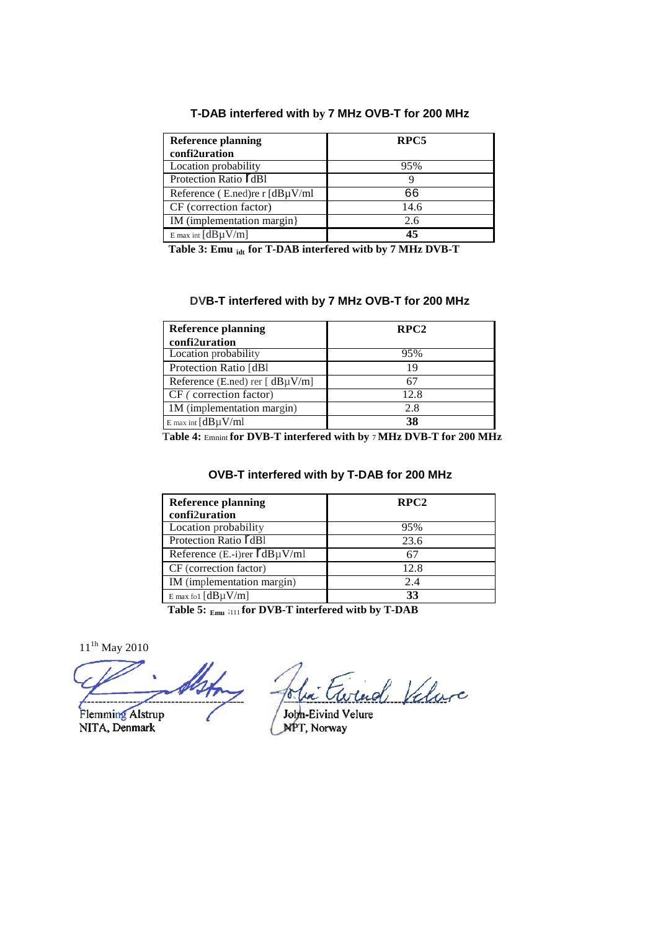#### **T-DAB interfered with by 7 MHz OVB-T for 200 MHz**

| <b>Reference planning</b>            | RPC5 |
|--------------------------------------|------|
| confi2uration                        |      |
| Location probability                 | 95%  |
| Protection Ratio <b>[dB1</b>         |      |
| Reference (E.ned) re r $[dB\mu V/ml$ | 66   |
| CF (correction factor)               | 14.6 |
| IM (implementation margin)           | 2.6  |
| $E$ max int $[dB\mu V/m]$            | 45   |

Table 3: Emu <sub>idt</sub> for T-DAB interfered with by 7 MHz DVB-T

#### **DVB-T interfered with by 7 MHz OVB-T for 200 MHz**

| <b>Reference planning</b>             | RPC <sub>2</sub> |
|---------------------------------------|------------------|
| confi2uration                         |                  |
| Location probability                  | 95%              |
| Protection Ratio [dB]                 | 19               |
| Reference (E.ned) rer [ $dB\mu V/m$ ] |                  |
| CF (correction factor)                | 12.8             |
| 1M (implementation margin)            | 2.8              |
| $E$ max int $[dB\mu V/ml$             | 38               |

**Table 4:** Emnint **for DVB-T interfered with by** 7 **MHz DVB-T for 200 MHz**

#### **OVB-T interfered with by T-DAB for 200 MHz**

| <b>Reference planning</b><br>confi2uration | RPC2 |
|--------------------------------------------|------|
| Location probability                       | 95%  |
| Protection Ratio ldB1                      | 23.6 |
| Reference $(E.-i)$ rer $\Gamma dB\mu V/ml$ | 67   |
| CF (correction factor)                     | 12.8 |
| IM (implementation margin)                 | 2.4  |
| E max fol $[dB\mu V/m]$                    | 33   |

**Table 5: Emu** ;111 **for DVB-T interfered witb by T-DAB**

11<sup><sup>1h</sup></sup> May 2010

ud Valore

Flemming Alstrup NITA, Denmark

John-Eivind Velure<br>NPT, Norway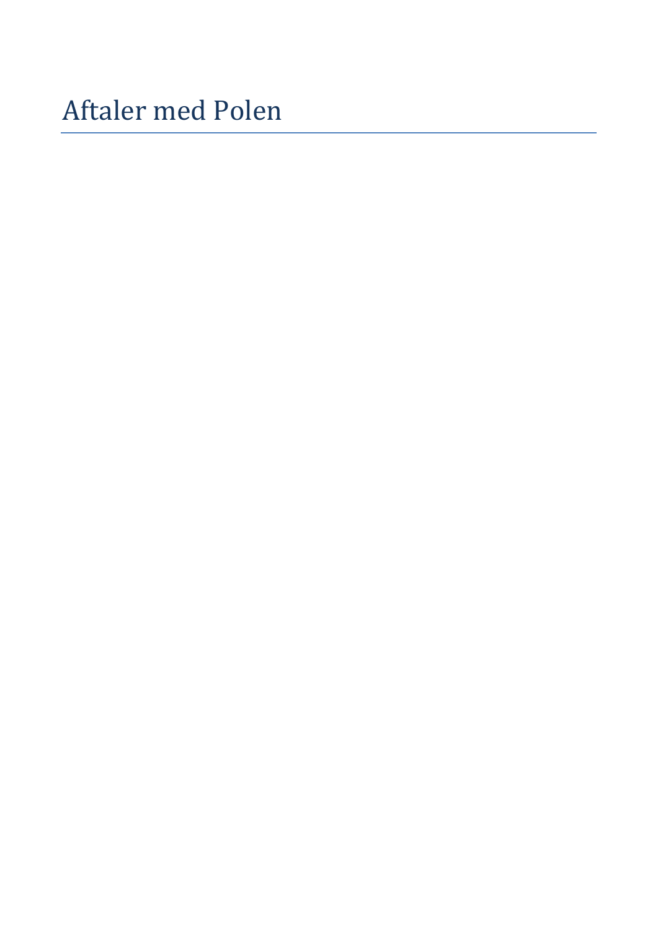Aftaler med Polen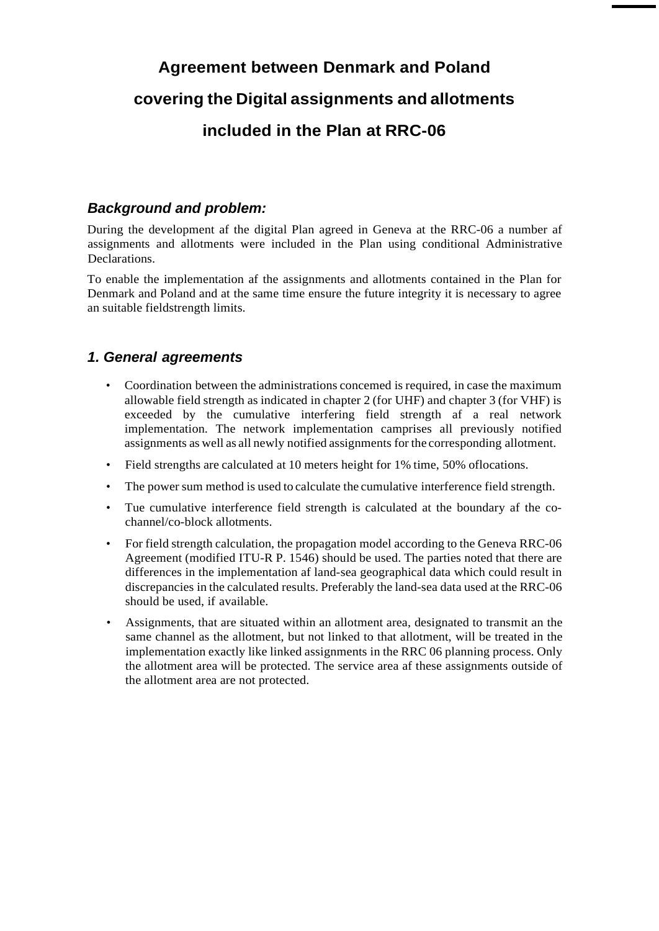## **Agreement between Denmark and Poland covering the Digital assignments and allotments included in the Plan at RRC-06**

## *Background and problem:*

During the development af the digital Plan agreed in Geneva at the RRC-06 a number af assignments and allotments were included in the Plan using conditional Administrative Declarations.

To enable the implementation af the assignments and allotments contained in the Plan for Denmark and Poland and at the same time ensure the future integrity it is necessary to agree an suitable fieldstrength limits.

## *1. General agreements*

- Coordination between the administrations concemed is required, in case the maximum allowable field strength as indicated in chapter 2 (for UHF) and chapter 3 (for VHF) is exceeded by the cumulative interfering field strength af a real network implementation. The network implementation camprises all previously notified assignments as well as all newly notified assignments for the corresponding allotment.
- Field strengths are calculated at 10 meters height for 1% time, 50% oflocations.
- The power sum method is used to calculate the cumulative interference field strength.
- Tue cumulative interference field strength is calculated at the boundary af the cochannel/co-block allotments.
- For field strength calculation, the propagation model according to the Geneva RRC-06 Agreement (modified ITU-R P. 1546) should be used. The parties noted that there are differences in the implementation af land-sea geographical data which could result in discrepancies in the calculated results. Preferably the land-sea data used at the RRC-06 should be used, if available.
- Assignments, that are situated within an allotment area, designated to transmit an the same channel as the allotment, but not linked to that allotment, will be treated in the implementation exactly like linked assignments in the RRC 06 planning process. Only the allotment area will be protected. The service area af these assignments outside of the allotment area are not protected.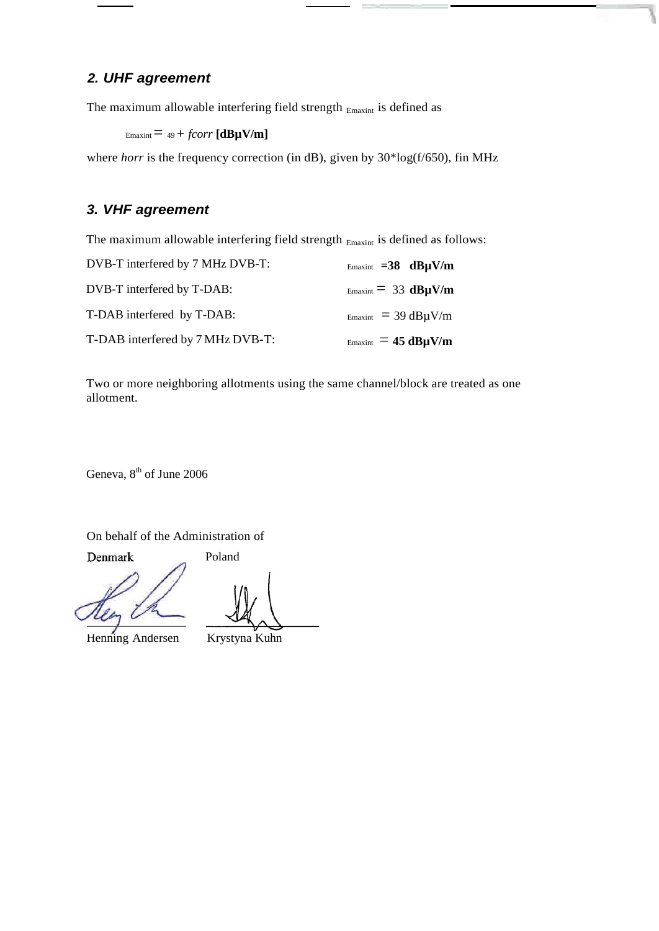## *2. UHF agreement*

The maximum allowable interfering field strength  $_{\rm Emaxint}$  is defined as

```
E_{\text{maxint}} = 49 + \text{foorr} [\text{dB}\mu\text{V/m}]
```
where *horr* is the frequency correction (in dB), given by 30\*log(f/650), fin MHz

## *3. VHF agreement*

The maximum allowable interfering field strength  $_{\text{Emaxint}}$  is defined as follows:

| DVB-T interfered by 7 MHz DVB-T: | Emaxint $=38$ dB $\mu$ V/m                    |
|----------------------------------|-----------------------------------------------|
| DVB-T interfered by T-DAB:       | $E_{\text{maxint}} = 33 \text{ dB}_{\mu} V/m$ |
| T-DAB interfered by T-DAB:       | $E_{\text{maxint}}$ = 39 dB $\mu$ V/m         |
| T-DAB interfered by 7 MHz DVB-T: | $E_{\text{maxint}} = 45 \text{ dB}_{\mu}$ V/m |

Two or more neighboring allotments using the same channel/block are treated as one allotment.

Geneva,  $8<sup>th</sup>$  of June 2006

On behalf of the Administration of

Denmark

Poland

Henning Andersen Krystyna Kuhn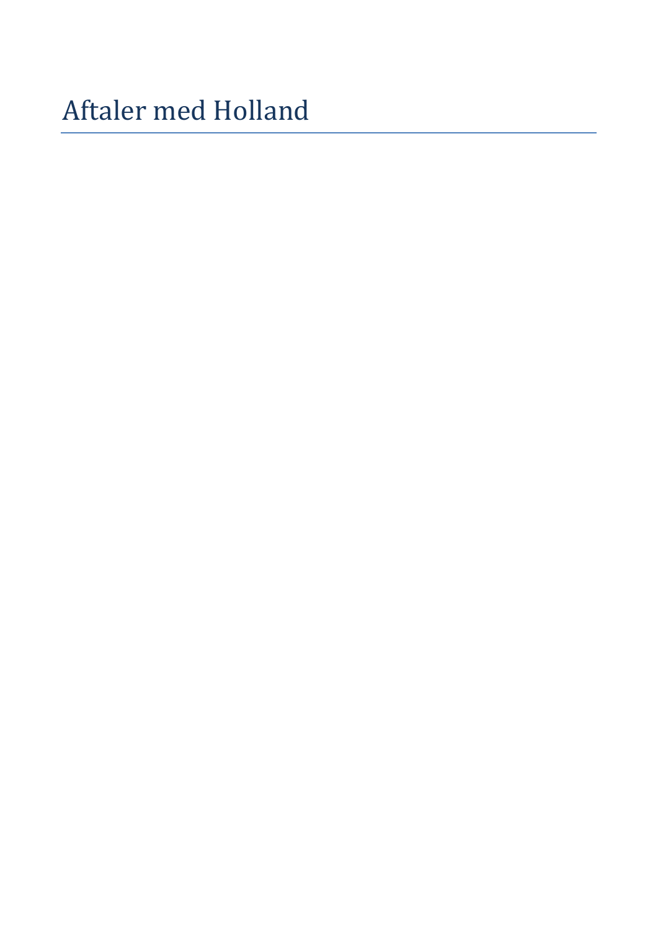